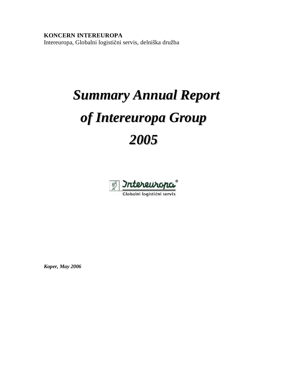# **KONCERN INTEREUROPA**

Intereuropa, Globalni logistični servis, delniška družba

# *Summary Annual Report of Intereuropa Group 2005*



Globalni logistični servis

*Koper, May 2006*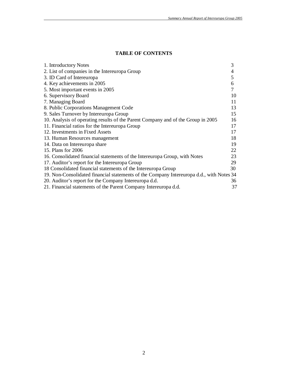## **TABLE OF CONTENTS**

| 1. Introductory Notes                                                                    | 3  |
|------------------------------------------------------------------------------------------|----|
| 2. List of companies in the Intereuropa Group                                            | 4  |
| 3. ID Card of Intereuropa                                                                | 5  |
| 4. Key achievements in 2005                                                              | 6  |
| 5. Most important events in 2005                                                         | 7  |
| 6. Supervisory Board                                                                     | 10 |
| 7. Managing Board                                                                        | 11 |
| 8. Public Corporations Management Code                                                   | 13 |
| 9. Sales Turnover by Intereuropa Group                                                   | 15 |
| 10. Analysis of operating results of the Parent Company and of the Group in 2005         | 16 |
| 11. Financial ratios for the Intereuropa Group                                           | 17 |
| 12. Investments in Fixed Assets                                                          | 17 |
| 13. Human Resources management                                                           | 18 |
| 14. Data on Intereuropa share                                                            | 19 |
| 15. Plans for 2006                                                                       | 22 |
| 16. Consolidated financial statements of the Intereuropa Group, with Notes               | 23 |
| 17. Auditor's report for the Intereuropa Group                                           | 29 |
| 18 Consolidated financial statements of the Intereuropa Group                            | 30 |
| 19. Non-Consolidated financial statements of the Company Intereuropa d.d., with Notes 34 |    |
| 20. Auditor's report for the Company Intereuropa d.d.                                    | 36 |
| 21. Financial statements of the Parent Company Intereuropa d.d.                          | 37 |
|                                                                                          |    |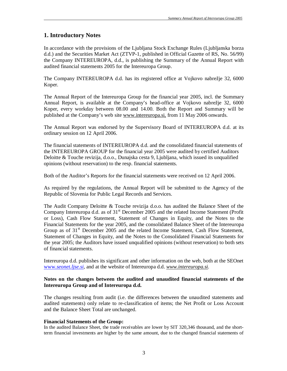## **1. Introductory Notes**

In accordance with the provisions of the Ljubljana Stock Exchange Rules (Ljubljanska borza d.d.) and the Securities Market Act (ZTVP-1, published in Official Gazette of RS, No. 56/99) the Company INTEREUROPA, d.d., is publishing the Summary of the Annual Report with audited financial statements 2005 for the Intereuropa Group.

The Company INTEREUROPA d.d. has its registered office at Vojkovo nabrežje 32, 6000 Koper.

The Annual Report of the Intereuropa Group for the financial year 2005, incl. the Summary Annual Report, is available at the Company's head-office at Vojkovo nabrežje 32, 6000 Koper, every workday between 08.00 and 14.00. Both the Report and Summary will be published at the Company's web site [www.intereuropa.si](http://www.intereuropa.si), from 11 May 2006 onwards.

The Annual Report was endorsed by the Supervisory Board of INTEREUROPA d.d. at its ordinary session on 12 April 2006.

The financial statements of INTEREUROPA d.d. and the consolidated financial statements of the INTEREUROPA GROUP for the financial year 2005 were audited by certified Auditors Deloitte & Touche revizija, d.o.o., Dunajska cesta 9, Ljubljana, which issued its unqualified opinions (without reservation) to the resp. financial statements.

Both of the Auditor's Reports for the financial statements were received on 12 April 2006.

As required by the regulations, the Annual Report will be submitted to the Agency of the Republic of Slovenia for Public Legal Records and Services.

The Audit Company Deloitte & Touche revizija d.o.o. has audited the Balance Sheet of the Company Intereuropa d.d. as of 31<sup>st</sup> December 2005 and the related Income Statement (Profit or Loss), Cash Flow Statement, Statement of Changes in Equity, and the Notes to the Financial Statements for the year 2005, and the consolidated Balance Sheet of the Intereuropa Group as of  $31<sup>st</sup>$  December 2005 and the related Income Statement, Cash Flow Statement, Statement of Changes in Equity, and the Notes to the Consolidated Financial Statements for the year 2005; the Auditors have issued unqualified opinions (without reservation) to both sets of financial statements.

Intereuropa d.d. publishes its significant and other information on the web, both at the SEOnet www.*seonet.ljse.si,* and at the website of Intereuropa d.d. *[www.intereuropa.si](http://www.intereuropa.si).* 

#### **Notes on the changes between the audited and unaudited financial statements of the Intereuropa Group and of Intereuropa d.d.**

The changes resulting from audit (i.e. the differences between the unaudited statements and audited statements) only relate to re-classification of items; the Net Profit or Loss Account and the Balance Sheet Total are unchanged.

#### **Financial Statements of the Group:**

In the audited Balance Sheet, the trade receivables are lower by SIT 320,346 thousand, and the shortterm financial investments are higher by the same amount, due to the changed financial statements of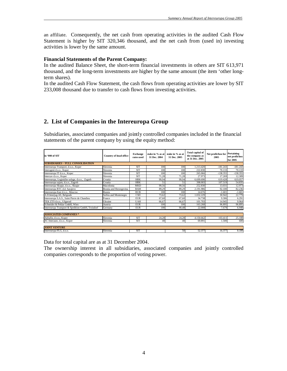an affiliate. Consequently, the net cash from operating activities in the audited Cash Flow Statement is higher by SIT 320,346 thousand, and the net cash from (used in) investing activities is lower by the same amount.

#### **Financial Statements of the Parent Company:**

In the audited Balance Sheet, the short-term financial investments in others are SIT 613,971 thousand, and the long-term investments are higher by the same amount (the item 'other longterm shares).

In the audited Cash Flow Statement, the cash flows from operating activities are lower by SIT 233,008 thousand due to transfer to cash flows from investing activities.

## **2. List of Companies in the Intereuropa Group**

Subsidiaries, associated companies and jointly controlled companies included in the financial statements of the parent company by using the equity method:

| in '000 of SIT                                    | <b>Country of head office</b> | <b>Exchange</b><br>rates used | stake in % as at l<br>31 Dec. 2004 | stake in % as at<br>31 Dec. 2005 | <b>Total capital of</b><br>the company as<br>at 31 Dec. 2005 | Net profit/loss for<br>2005 | Pertaining<br>net profit/loss<br>for 2005 |
|---------------------------------------------------|-------------------------------|-------------------------------|------------------------------------|----------------------------------|--------------------------------------------------------------|-----------------------------|-------------------------------------------|
| <b>SUBSIDIARIES - FULL CONSOLIDATION</b>          |                               |                               |                                    |                                  |                                                              |                             |                                           |
| Intereuropa Transport, d.o.o., Koper              | Slovenia                      | <b>SIT</b>                    | 100                                | 100                              | .213.420                                                     | $-181.243$                  | $-181.243$                                |
| Interagent d.o.o., Koper                          | Slovenia                      | <b>SIT</b>                    | 100                                | 100                              | 222.830                                                      | 70.133                      | 70.133                                    |
| Intereuropa IT d.o.o., Koper                      | Slovenia                      | <b>SIT</b>                    | 100                                | 100                              | 265.066                                                      | $-138.355$                  | $-138.355$                                |
| Interzav d.o.o., Koper                            | Slovenia                      | <b>SIT</b>                    | 71.28                              | 71,28                            | 27.973                                                       | 17.269                      | 12.309                                    |
| Intereuropa, Logističke usluge, d.o.o., Zagreb    | Croatia                       | <b>HRK</b>                    | 99.94                              | 99,94                            | 6.699.690                                                    | 619.428                     | 619.057                                   |
| Intereuropa sajam, d.o.o., Zagreb                 | Croatia                       | <b>HRK</b>                    | 51                                 | 51                               | 398.003                                                      | 107.519                     | 54.835                                    |
| Intereuropa Skopje, d.o.o., Skopje                | Macedonia                     | <b>MKD</b>                    | 99.56                              | 99,56                            | 252.830                                                      | 13.031                      | 12.973                                    |
| Intereuropa RTC d.d. Sarajevo                     | Bosnia and Herzegovina        | <b>BAM</b>                    | 89.29                              | 89,29                            | 2.191.986                                                    | 92.100                      | 82.236                                    |
| Intereuropa-East d.o.o., Moscow                   | Russia                        | <b>RUB</b>                    | 100                                | 100                              | 14.676                                                       | $-1.601$                    | $-1.601$                                  |
| A.D.Interjug-AS, Belgrade                         | Serbia and Montenegro         | CSD                           | 73,62                              | 73,62                            | 1.032.229                                                    | 30.942                      | 22.779                                    |
| Intereuropa S.A.S., Saint Pierre de Chandieu      | France                        | <b>EUR</b>                    | 67,60                              | 67.60                            | 34.738                                                       | 9.306                       | 6.291                                     |
| TEK ZTS d.o.o., Užgorod                           | Ukraine                       | <b>UAH</b>                    | 66,67                              | 66.67                            | 101.703                                                      | 14.945                      | 9.964                                     |
| Schneider & Peklar GmbH, Wien                     | Austria                       | <b>EUR</b>                    | 100                                | 100                              | 163.268                                                      | 96.895                      | 96.895                                    |
| Intereuropa Transport & Spedition GmbH, Troisdorf | Germany                       | <b>EUR</b>                    | 100                                | 90.48                            | 22.008                                                       | 7.679                       | 6.948                                     |
| <b>ASSOCIATED COMPANIES *</b>                     |                               |                               |                                    |                                  |                                                              |                             |                                           |
| Adriafin, d.o.o., Koper                           | Slovenia                      | <b>SIT</b>                    | 24,28                              | 24,28                            | 4.150.662                                                    | 103.411                     | 25.108                                    |
| AC-Interauto, d.o.o., Koper                       | Slovenia                      | <b>SIT</b>                    | 40                                 | 40                               | 69.891                                                       | 1.500                       | 600                                       |
| <b>JOINT VENTURE</b>                              |                               |                               |                                    |                                  |                                                              |                             |                                           |
| Intereuropa-FLG, d.o.o.                           | Slovenia                      | <b>SIT</b>                    |                                    | 50                               | 52.377                                                       | 16.377                      | 8.189                                     |

Data for total capital are as at 31 December 2004.

The ownership interest in all subsidiaries, associated companies and jointly controlled companies corresponds to the proportion of voting power.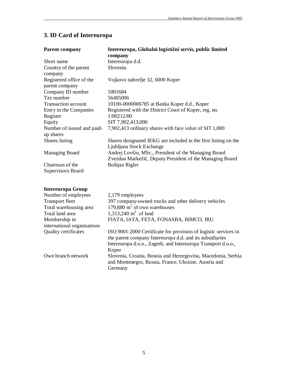# **3. ID Card of Intereuropa**

| <b>Parent company</b>       | Intereuropa, Globalni logistični servis, public limited         |
|-----------------------------|-----------------------------------------------------------------|
|                             | company                                                         |
| Short name                  | Intereuropa d.d.                                                |
| Country of the parent       | Slovenia                                                        |
| company                     |                                                                 |
| Registered office of the    | Vojkovo nabrežje 32, 6000 Koper                                 |
| parent company              |                                                                 |
| Company ID number           | 5001684                                                         |
| Tax number                  | 56405006                                                        |
| <b>Transaction account</b>  | 10100-0000006785 at Banka Koper d.d., Koper                     |
| Entry in the Companies      | Registered with the District Court of Koper, reg. no.           |
| Register                    | 1/00212/00                                                      |
| Equity                      | SIT 7,902,413,000                                               |
| Number of issued and paid-  | 7,902,413 ordinary shares with face value of SIT 1,000          |
| up shares                   |                                                                 |
| Shares listing              | Shares designated IEKG are included in the first listing on the |
|                             | Ljubljana Stock Exchange                                        |
| <b>Managing Board</b>       | Andrej Lovšin, MSc., President of the Managing Board            |
|                             | Zvezdan Markežič, Deputy President of the Managing Board        |
| Chairman of the             | Boštjan Rigler                                                  |
| <b>Supervisory Board</b>    |                                                                 |
|                             |                                                                 |
|                             |                                                                 |
| <b>Intereuropa Group</b>    |                                                                 |
| Number of employees         | 2,179 employees                                                 |
| <b>Transport fleet</b>      | 397 company-owned trucks and other delivery vehicles            |
| Total warehousing area      | 179,880 $m2$ of own warehouses                                  |
| Total land area             | 1,313,240 $m^2$ of land                                         |
| Membership in               | FIATA, IATA, FETA, FONASBA, BIMCO, IRU                          |
| international organisations |                                                                 |
| <b>Quality certificates</b> | ISO 9001:2000 Certificate for provision of logistic services in |
|                             | the parent company Intereuropa d.d. and its subsidiaries        |
|                             | Intereuropa d.o.o., Zagreb, and Intereuropa Transport d.o.o.,   |
|                             | Koper                                                           |
| Own branch network          | Slovenia, Croatia, Bosnia and Herzegovina, Macedonia, Serbia    |
|                             | and Montenegro, Russia, France, Ukraine, Austria and            |
|                             | Germany                                                         |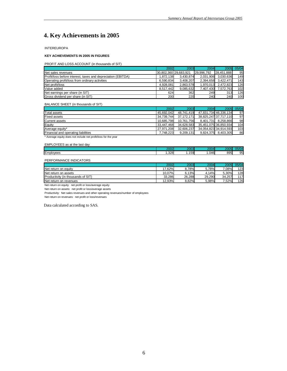# **4. Key Achievements in 2005**

INTEREUROPA

#### **KEY ACHIEVEMENTS IN 2005 IN FIGURES**

PROFIT AND LOSS ACCOUNT (in thousands of SIT)

|                                                              | 2002                  | 2003      | 2004       | <b>2005</b>         | 05/04 |
|--------------------------------------------------------------|-----------------------|-----------|------------|---------------------|-------|
| Net sales revenues                                           | 30.802.360129.683.921 |           | 29.996.792 | 28.451.888          | 95    |
| Profit/loss before interest, taxes and depreciation (EBITDA) | 1.872.138             | 3.430.874 |            | 2.031.906 3.030.636 | 149   |
| Operating profit/loss from ordinary activities               | 6,590,834             | 3,408,207 |            | 2,394,658 3,422,471 | 143   |
| Net profit/loss                                              | 4.928.081             | 2.863.578 |            | 1.970.013 2.472.823 | 126   |
| Value added                                                  | 8.517.442             | 9.085.632 |            | 7.407.430 7.572.763 | 102   |
| Net earnings per share (in SIT)                              | 624                   | 362       | 249        | 313                 | 126   |
| Gross dividend per share (in SIT)                            | 200                   | 220       | 240        | 240                 | 100   |

#### BALANCE SHEET (in thousands of SIT)

|                                     | 2002       | 2003       | 2004      | 2005                  | 05/04 |
|-------------------------------------|------------|------------|-----------|-----------------------|-------|
| <b>Total assets</b>                 | 45.692.042 | 48.741.419 |           | 47,831,734 46,336,134 | 97    |
| <b>Fixed assets</b>                 | 34.739.744 | 37.172.171 |           | 38.825.247 37.717.110 | 97    |
| <b>Current assets</b>               | 10.685.798 | 10.761.756 | 8.401.731 | 8.258.866             | 98    |
| Equity                              | 33.447.468 | 34.628.583 |           | 35.451.075 36.850.934 | 104   |
| Average equity*                     | 27.971.208 | 32.606.237 |           | 34.054.823 34.914.593 | 103   |
| Financial and operating liabilities | 7.748.223  | 9.209.131  | 9.824.375 | 8.403.305             | 86    |

\* Average equity does not include net profit/loss for the year

#### EMPLOYEES as at the last day

|           | $\sim$         | ∘∩ה       | n n n     | חמ<br>. | $\sim$ $\sim$ $\sim$    |
|-----------|----------------|-----------|-----------|---------|-------------------------|
| Employees | 220<br>ا0∠ت. ا | 2.72<br>. | 046<br>ں. | 895     | - -<br>- 76<br>$\sigma$ |

#### PERFORMANCE INDICATORS

|                                           | 2002   | 2003   | 2004   | 2005   | 05/04 |
|-------------------------------------------|--------|--------|--------|--------|-------|
| Net return on equity                      | 17.62% | 8.78%  | 5.78%  | .08%   | 123   |
| Net return on assets                      | 10.07% | 6.13%  | 4.14%  | 5.30%  | 128   |
| <b>Productivity (in thousands of SIT)</b> | 33.286 | 26.288 | 29.290 | 34.257 | 117   |
| Net return on revenues                    | 12.93% | 8.82%  | 5.98%  | .52%   | 126   |

Net return on equity: net profit or loss/average equity

Net return on assets: net profit or loss/average assets

Productivity: Net sales revenues and other operating revenues/number of employees

Net return on revenues: net profit or loss/revenues

Data calculated according to SAS.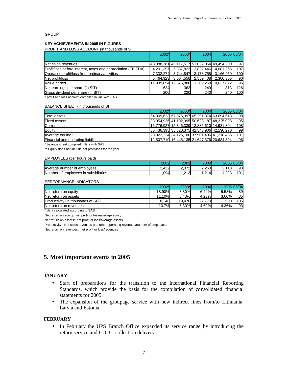#### **GROUP**

#### **KEY ACHIEVEMENTS IN 2005 IN FIGURES**

PROFIT AND LOSS ACCOUNT (in thousands of SIT)

|                                                              | 2002*     | $2003*$   | <b>2004</b>                   |                                             | 2005 05/04 |
|--------------------------------------------------------------|-----------|-----------|-------------------------------|---------------------------------------------|------------|
|                                                              |           |           |                               |                                             |            |
| Net sales revenues                                           |           |           |                               | 43,088,381 45,117,517 51,022,064 49,494,200 | 97         |
| Profit/loss before interest, taxes and depreciation (EBITDA) |           |           | 4,201,397 5,387,823 3,822,446 | 4.081.366                                   | 107        |
| Operating profit/loss from ordinary activities               | 7.332.274 | 3,744,847 | 3,178,755                     | 3.166.050                                   | 100        |
| Net profit/loss                                              |           |           | 5,464,923 3,004,558 2,559,408 | 2.300.305                                   | 90         |
| Value added                                                  |           |           |                               | 11,939,054 12,576,880 11,209,258 10,637,822 | 95         |
| Net earnings per share (in SIT)                              | 624       | 362       | 249                           | 313                                         | 126        |
| Gross dividend per share (in SIT)                            | 200       | 220       | 240                           | 240                                         | 100        |

\* profit and loss account compiled in line with SAS

#### BALANCE SHEET (in thousands of SIT)

|                                     | $2002*$ | 2003* | <b>2004</b>                                 | 2005 05/04 |
|-------------------------------------|---------|-------|---------------------------------------------|------------|
| Total assets                        |         |       | 54,309,623 57,376,997 65,291,374 63.694.618 | 98         |
| <b>Fixed assets</b>                 |         |       | 38,054,925 41,102,995 50,628,187 48,325,098 | 95         |
| Current assets                      |         |       | 15,776,927 15,346,339 13,886,610 14,931,304 | 108        |
| Equity                              |         |       | 35,436,395 35,820,375 42,546,906 42,190,270 | 99         |
| Average equity**                    |         |       | 28,922,224 34,126,106 37,901,436 41,218,435 | 101        |
| Financial and operating liabilities |         |       | 12,507,710 16,445,135 21.647.376 20,684,894 | 96         |

\* balance sheet compiled in line with SAS

\*\* Equity does not include net profit/loss for the year

#### EMPLOYEES (per hours paid)

|                                                    | റററ             | റററി         | 20041        | 20051             | $\Delta F / \Delta$ |
|----------------------------------------------------|-----------------|--------------|--------------|-------------------|---------------------|
| Average number of<br>emplovees                     | 100<br>⌒<br>422 | 2 372<br>، ب | 2.260        | 2.118<br><u>.</u> | 93                  |
| <b>Number</b><br>in subsidiaries<br>of emplovees : | 094             | .213<br>. I  | .214<br>$-1$ | .223              | 101<br>שו           |

#### PERFORMANCE INDICATORS

|                                           | 2002*   | 2003*  | <b>2004</b> |        | 2005 05/04 |
|-------------------------------------------|---------|--------|-------------|--------|------------|
| Net return on equity                      | 18.90%) | 8.80%  | 6.24%       | 5.58%  | 89         |
| Net return on assets                      | 11.10%  | 5.40%  | 4.23%       | 3.60%  | 85         |
| <b>Productivity (in thousands of SIT)</b> | 18.248  | 19.476 | 22.770      | 23.900 | 105        |
| Net return on revenues                    | 10.7%   | 6.30%  | 4.69%       | 4.36%  | 93         |

\* data calculated according to SAS

Net return on equity: net profit or loss/average equity

Net return on assets: net profit or loss/average assets

Productivity: Net sales revenues and other operating revenues/number of employees

Net return on revenues: net profit or loss/revenues

#### **5. Most important events in 2005**

#### **JANUARY**

- Start of preparations for the transition to the International Financial Reporting Standards, which provide the basis for the compilation of consolidated financial statements for 2005.
- The expansion of the groupage service with new indirect lines from/to Lithuania, Latvia and Estonia.

#### **FEBRUARY**

• In February the UPS Branch Office expanded its service range by introducing the return service and COD – collect on delivery.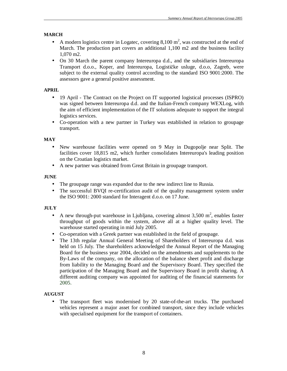#### **MARCH**

- A modern logistics centre in Logatec, covering  $8,100 \text{ m}^2$ , was constructed at the end of March. The production part covers an additional 1,100 m2 and the business facility 1,070 m2.
- On 30 March the parent company Intereuropa d.d., and the subsidiaries Intereuropa Transport d.o.o., Koper, and Intereuropa, Logističke usluge, d.o.o, Zagreb, were subject to the external quality control according to the standard ISO 9001:2000. The assessors gave a general positive assessment.

## **APRIL**

- 19 April The Contract on the Project on IT supported logistical processes (ISPRO) was signed between Intereuropa d.d. and the Italian-French company WEXLog, with the aim of efficient implementation of the IT solutions adequate to support the integral logistics services.
- Co-operation with a new partner in Turkey was established in relation to groupage transport.

#### **MAY**

- New warehouse facilities were opened on 9 May in Dugopolje near Split. The facilities cover 18,815 m2, which further consolidates Intereuropa's leading position on the Croatian logistics market.
- A new partner was obtained from Great Britain in groupage transport.

#### **JUNE**

- The groupage range was expanded due to the new indirect line to Russia.
- The successful BVQI re-certification audit of the quality management system under the ISO 9001: 2000 standard for Interagent d.o.o. on 17 June.

#### **JULY**

- A new through-put warehouse in Ljubljana, covering almost  $3,500 \text{ m}^2$ , enables faster throughput of goods within the system, above all at a higher quality level. The warehouse started operating in mid July 2005.
- Co-operation with a Greek partner was established in the field of groupage.
- The 13th regular Annual General Meeting of Shareholders of Intereuropa d.d. was held on 15 July. The shareholders acknowledged the Annual Report of the Managing Board for the business year 2004, decided on the amendments and supplements to the By-Laws of the company, on the allocation of the balance sheet profit and discharge from liability to the Managing Board and the Supervisory Board. They specified the participation of the Managing Board and the Supervisory Board in profit sharing. A different auditing company was appointed for auditing of the financial statements for 2005.

#### **AUGUST**

• The transport fleet was modernised by 20 state-of-the-art trucks. The purchased vehicles represent a major asset for combined transport, since they include vehicles with specialised equipment for the transport of containers.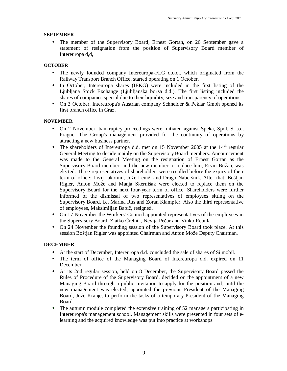#### **SEPTEMBER**

• The member of the Supervisory Board, Ernest Gortan, on 26 September gave a statement of resignation from the position of Supervisory Board member of Intereuropa d,d,

## **OCTOBER**

- The newly founded company Intereuropa-FLG d.o.o., which originated from the Railway Transport Branch Office, started operating on 1 October.
- In October, Intereuropa shares (IEKG) were included in the first listing of the Ljubljana Stock Exchange (Ljubljanska borza d.d.). The first listing included the shares of companies special due to their liquidity, size and transparency of operations.
- On 3 October, Intereuropa's Austrian company Schneider & Peklar Gmbh opened its first branch office in Graz.

#### **NOVEMBER**

- On 2 November, bankruptcy proceedings were initiated against Speka, Spol. S r.o., Prague. The Group's management provided for the continuity of operations by attracting a new business partner.
- The shareholders of Intereuropa d.d. met on 15 November 2005 at the  $14<sup>th</sup>$  regular General Meeting to decide mainly on the Supervisory Board members. Announcement was made to the General Meeting on the resignation of Ernest Gortan as the Supervisory Board member, and the new member to replace him, Ervin Bužan, was elected. Three representatives of shareholders were recalled before the expiry of their term of office: Livij Jakomin, Jože Lenič, and Drago Naberšnik. After that, Boštjan Rigler, Anton Može and Manja Skernišak were elected to replace them on the Supervisory Board for the next four-year term of office. Shareholders were further informed of the dismissal of two representatives of employees sitting on the Supervisory Board, i.e. Marina Rus and Zoran Klampfer. Also the third representative of employees, Maksimiljan Babič, resigned.
- On 17 November the Workers' Council appointed representatives of the employees in the Supervisory Board: Zlatko Čretnik, Nevija Pečar and Vinko Rebula.
- On 24 November the founding session of the Supervisory Board took place. At this session Boštjan Rigler was appointed Chairman and Anton Može Deputy Chairman.

#### **DECEMBER**

- At the start of December, Intereuropa d.d. concluded the sale of shares of Si.mobil.
- The term of office of the Managing Board of Intereuropa d.d. expired on 11 December.
- At its 2nd regular session, held on 8 December, the Supervisory Board passed the Rules of Procedure of the Supervisory Board, decided on the appointment of a new Managing Board through a public invitation to apply for the position and, until the new management was elected, appointed the previous President of the Managing Board, Jože Kranjc, to perform the tasks of a temporary President of the Managing Board.
- The autumn module completed the extensive training of 52 managers participating in Intereuropa's management school. Management skills were presented in four sets of elearning and the acquired knowledge was put into practice at workshops.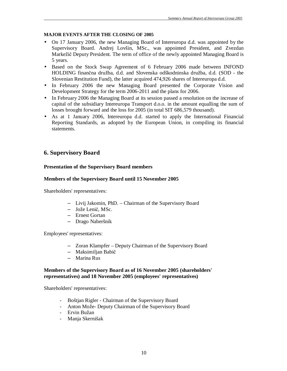#### **MAJOR EVENTS AFTER THE CLOSING OF 2005**

- On 17 January 2006, the new Managing Board of Intereuropa d.d. was appointed by the Supervisory Board. Andrej Lovšin, MSc., was appointed President, and Zvezdan Markežič Deputy President. The term of office of the newly appointed Managing Board is 5 years.
- Based on the Stock Swap Agreement of 6 February 2006 made between INFOND HOLDING finančna družba, d.d. and Slovenska odškodninska družba, d.d. (SOD - the Slovenian Restitution Fund), the latter acquired 474,926 shares of Intereuropa d.d.
- In February 2006 the new Managing Board presented the Corporate Vision and Development Strategy for the term 2006-2011 and the plans for 2006.
- In February 2006 the Managing Board at its session passed a resolution on the increase of capital of the subsidiary Intereuropa Transport d.o.o. in the amount equalling the sum of losses brought forward and the loss for 2005 (in total SIT 686,579 thousand).
- As at 1 January 2006, Intereuropa d.d. started to apply the International Financial Reporting Standards, as adopted by the European Union, in compiling its financial statements.

## **6. Supervisory Board**

#### **Presentation of the Supervisory Board members**

#### **Members of the Supervisory Board until 15 November 2005**

Shareholders' representatives:

- Livij Jakomin, PhD. Chairman of the Supervisory Board
- Jože Lenič, MSc.
- Ernest Gortan
- Drago Naberšnik

Employees' representatives:

- Zoran Klampfer Deputy Chairman of the Supervisory Board
- Maksimiljan Babič
- Marina Rus

#### **Members of the Supervisory Board as of 16 November 2005 (shareholders' representatives) and 18 November 2005 (employees' representatives)**

Shareholders' representatives:

- Boštjan Rigler Chairman of the Supervisory Board
- Anton Može- Deputy Chairman of the Supervisory Board
- Ervin Bužan
- Manja Skernišak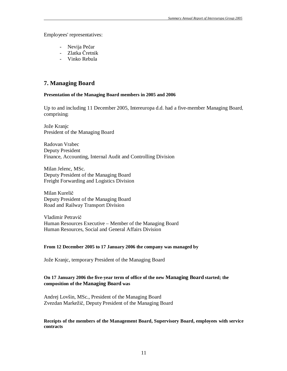Employees' representatives:

- Nevija Pečar
- Zlatka Čretnik
- Vinko Rebula

## **7. Managing Board**

#### **Presentation of the Managing Board members in 2005 and 2006**

Up to and including 11 December 2005, Intereuropa d.d. had a five-member Managing Board, comprising:

Jože Kranjc President of the Managing Board

Radovan Vrabec Deputy President Finance, Accounting, Internal Audit and Controlling Division

Milan Jelenc, MSc. Deputy President of the Managing Board Freight Forwarding and Logistics Division

Milan Kurelič Deputy President of the Managing Board Road and Railway Transport Division

Vladimir Petravič Human Resources Executive – Member of the Managing Board Human Resources, Social and General Affairs Division

#### **From 12 December 2005 to 17 January 2006 the company was managed by**

Jože Kranjc, temporary President of the Managing Board

#### **On 17 January 2006 the five-year term of office of the new Managing Board started; the composition of the Managing Board was**

Andrej Lovšin, MSc., President of the Managing Board Zvezdan Markežič, Deputy President of the Managing Board

#### **Receipts of the members of the Management Board, Supervisory Board, employees with service contracts**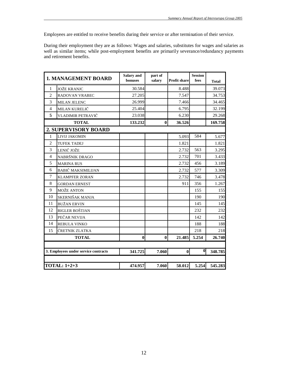Employees are entitled to receive benefits during their service or after termination of their service.

During their employment they are as follows: Wages and salaries, substitutes for wages and salaries as well as similar items; while post-employment benefits are primarily severance/redundancy payments and retirement benefits.

|                | <b>1. MANAGEMENT BOARD</b>           | Salary and<br>bonuses | part of<br>salary | <b>Profit share</b> | <b>Session</b><br>fees | <b>Total</b> |
|----------------|--------------------------------------|-----------------------|-------------------|---------------------|------------------------|--------------|
| 1              | <b>JOŽE KRANJC</b>                   | 30.584                |                   | 8.488               |                        | 39.073       |
| $\overline{2}$ | RADOVAN VRABEC                       | 27.205                |                   | 7.547               |                        | 34.753       |
| 3              | <b>MILAN JELENC</b>                  | 26.999                |                   | 7.466               |                        | 34.465       |
| $\overline{4}$ | MILAN KURELIČ                        | 25.404                |                   | 6.795               |                        | 32.199       |
| 5              | VLADIMIR PETRAVIČ                    | 23.038                |                   | 6.230               |                        | 29.268       |
|                | <b>TOTAL</b>                         | 133.232               | $\bf{0}$          | 36.526              |                        | 169.758      |
|                | <b>2. SUPERVISORY BOARD</b>          |                       |                   |                     |                        |              |
| 1              | LIVIJ JAKOMIN                        |                       |                   | 5.093               | 584                    | 5.677        |
| $\overline{2}$ | <b>TUFEK TADEJ</b>                   |                       |                   | 1.821               |                        | 1.821        |
| 3              | LENIČ JOŽE                           |                       |                   | 2.732               | 563                    | 3.295        |
| $\overline{4}$ | NABRŠNIK DRAGO                       |                       |                   | 2.732               | 701                    | 3.433        |
| 5              | <b>MARINA RUS</b>                    |                       |                   | 2.732               | 456                    | 3.189        |
| 6              | <b>BABIČ MAKSIMILIJAN</b>            |                       |                   | 2.732               | 577                    | 3.309        |
| $\overline{7}$ | <b>KLAMPFER ZORAN</b>                |                       |                   | 2.732               | 746                    | 3.478        |
| 8              | <b>GORDAN ERNEST</b>                 |                       |                   | 911                 | 356                    | 1.267        |
| 9              | <b>MOŽE ANTON</b>                    |                       |                   |                     | 155                    | 155          |
| 10             | SKERNIŠAK MANJA                      |                       |                   |                     | 190                    | 190          |
| 11             | <b>BUŽAN ERVIN</b>                   |                       |                   |                     | 145                    | 145          |
| 12             | RIGLER BOŠTJAN                       |                       |                   |                     | 232                    | 232          |
| 13             | PEČAR NEVIJA                         |                       |                   |                     | 142                    | 142          |
| 14             | REBULA VINKO                         |                       |                   |                     | 188                    | 188          |
| 15             | ČRETNIK ZLATKA                       |                       |                   |                     | 218                    | 218          |
|                | <b>TOTAL</b>                         | $\bf{0}$              | $\bf{0}$          | 21.485              | 5.254                  | 26.740       |
|                |                                      |                       |                   |                     |                        |              |
|                | 3. Employees under service contracts | 341.725               | 7.060             | $\vert$             | $\mathbf{0}$           | 348.785      |
|                |                                      |                       |                   |                     |                        |              |
|                | <b>TOTAL: 1+2+3</b>                  | 474.957               | 7.060             | 58.012              | 5.254                  | 545.283      |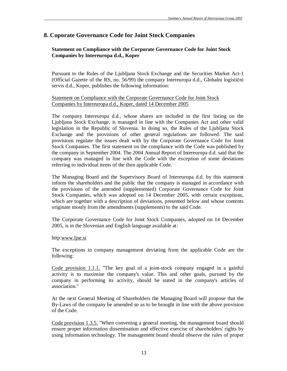## **8. Coporate Governance Code for Joint Stock Companies**

## **Statement on Compliance with the Corporate Governance Code for Joint Stock Companies by Intereuropa d.d., Koper**

Pursuant to the Rules of the Ljubljana Stock Exchange and the Securities Market Act-1 (Official Gazette of the RS, no. 56/99) the company Intereuropa d.d., Globalni logistični servis d.d., Koper, publishes the following information:

#### Statement on Compliance with the Corporate Governance Code for Joint Stock Companies by Intereuropa d.d., Koper, dated 14 December 2005

The company Intereuropa d.d., whose shares are included in the first listing on the Ljubljana Stock Exchange, is managed in line with the Companies Act and other valid legislation in the Republic of Slovenia. In doing so, the Rules of the Ljubljana Stock Exchange and the provisions of other general regulations are followed. The said provisions regulate the issues dealt with by the Corporate Governance Code for Joint Stock Companies. The first statement on the compliance with the Code was published by the company in September 2004. The 2004 Annual Report of Intereuropa d.d. said that the company was managed in line with the Code with the exception of some deviations referring to individual items of the then applicable Code.

The Managing Board and the Supervisory Board of Intereuropa d.d. by this statement inform the shareholders and the public that the company is managed in accordance with the provisions of the amended (supplemented) Corporate Governance Code for Joint Stock Companies, which was adopted on 14 December 2005, with certain exceptions, which are together with a description of deviations, presented below and whose contents originate mostly from the amendments (supplements) to the said Code.

The Corporate Governance Code for Joint Stock Companies, adopted on 14 December 2005, is in the Slovenian and English language available at:

#### http[:www.ljse.si](http://www.ljse.si)

The exceptions in company management deviating from the applicable Code are the following:

Code provision 1.1.1. "The key goal of a joint-stock company engaged in a gainful activity is to maximise the company's value. This and other goals, pursued by the company in performing its activity, should be stated in the company's articles of association."

At the next General Meeting of Shareholders the Managing Board will propose that the By-Laws of the company be amended so as to be brought in line with the above provision of the Code.

Code provision 1.3.5. "When convening a general meeting, the management board should ensure proper information dissemination and effective exercise of shareholders' rights by using information technology. The management board should observe the rules of proper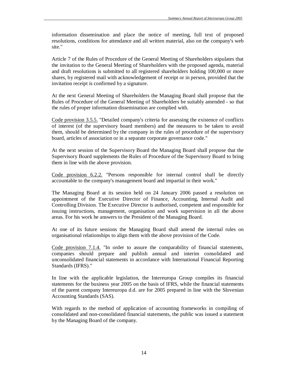information dissemination and place the notice of meeting, full text of proposed resolutions, conditions for attendance and all written material, also on the company's web site."

Article 7 of the Rules of Procedure of the General Meeting of Shareholders stipulates that the invitation to the General Meeting of Shareholders with the proposed agenda, material and draft resolutions is submitted to all registered shareholders holding 100,000 or more shares, by registered mail with acknowledgement of receipt or in person, provided that the invitation receipt is confirmed by a signature.

At the next General Meeting of Shareholders the Managing Board shall propose that the Rules of Procedure of the General Meeting of Shareholders be suitably amended - so that the rules of proper information dissemination are complied with.

Code provision 3.5.5. "Detailed company's criteria for assessing the existence of conflicts of interest (of the supervisory board members) and the measures to be taken to avoid them, should be determined by the company in the rules of procedure of the supervisory board, articles of association or in a separate corporate governance code."

At the next session of the Supervisory Board the Managing Board shall propose that the Supervisory Board supplements the Rules of Procedure of the Supervisory Board to bring them in line with the above provision.

Code provision 6.2.2. "Persons responsible for internal control shall be directly accountable to the company's management board and impartial in their work."

The Managing Board at its session held on 24 January 2006 passed a resolution on appointment of the Executive Director of Finance, Accounting, Internal Audit and Controlling Division. The Executive Director is authorised, competent and responsible for issuing instructions, management, organisation and work supervision in all the above areas. For his work he answers to the President of the Managing Board.

At one of its future sessions the Managing Board shall amend the internal rules on organisational relationships to align them with the above provision of the Code.

Code provision 7.1.4. "In order to assure the comparability of financial statements, companies should prepare and publish annual and interim consolidated and unconsolidated financial statements in accordance with International Financial Reporting Standards (IFRS)."

In line with the applicable legislation, the Intereuropa Group compiles its financial statements for the business year 2005 on the basis of IFRS, while the financial statements of the parent company Intereuropa d.d. are for 2005 prepared in line with the Slovenian Accounting Standards (SAS).

With regards to the method of application of accounting frameworks in compiling of consolidated and non-consolidated financial statements, the public was issued a statement by the Managing Board of the company.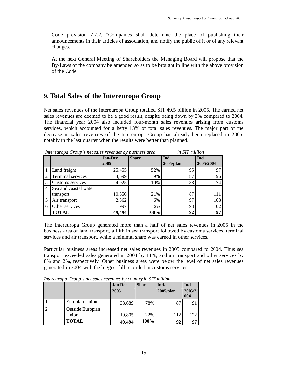Code provision 7.2.2. "Companies shall determine the place of publishing their announcements in their articles of association, and notify the public of it or of any relevant changes."

At the next General Meeting of Shareholders the Managing Board will propose that the By-Laws of the company be amended so as to be brought in line with the above provision of the Code.

# **9. Total Sales of the Intereuropa Group**

Net sales revenues of the Intereuropa Group totalled SIT 49.5 billion in 2005. The earned net sales revenues are deemed to be a good result, despite being down by 3% compared to 2004. The financial year 2004 also included four-month sales revenues arising from customs services, which accounted for a hefty 13% of total sales revenues. The major part of the decrease in sales revenues of the Intereuropa Group has already been replaced in 2005, notably in the last quarter when the results were better than planned.

|                |                       | <b>Jan-Dec</b> | <b>Share</b> | Ind.         | Ind.      |
|----------------|-----------------------|----------------|--------------|--------------|-----------|
|                |                       | 2005           |              | $2005$ /plan | 2005/2004 |
|                | Land freight          | 25,455         | 52%          | 95           | 97        |
| $\overline{2}$ | Terminal services     | 4,699          | 9%           | 87           | 96        |
| 3              | Customs services      | 4,925          | 10%          | 88           | 74        |
| 4              | Sea and coastal water |                |              |              |           |
|                | transport             | 10,556         | 21%          | 87           | 111       |
| 5              | Air transport         | 2,862          | 6%           | 97           | 108       |
| 6              | Other services        | 997            | 2%           | 93           | 102       |
|                | <b>TOTAL</b>          | 49,494         | 100%         | 92           | 97        |

*Intereuropa Group's net sales revenues by business area in SIT million* 

The Intereuropa Group generated more than a half of net sales revenues in 2005 in the business area of land transport, a fifth in sea transport followed by customs services, terminal services and air transport, while a minimal share was earned in other services.

Particular business areas increased net sales revenues in 2005 compared to 2004. Thus sea transport exceeded sales generated in 2004 by 11%, and air transport and other services by 8% and 2%, respectively. Other business areas were below the level of net sales revenues generated in 2004 with the biggest fall recorded in customs services.

*Intereuropa Group's net sales revenues by country in SIT million* 

|                  | <b>Jan-Dec</b> | <b>Share</b> | Ind.      | Ind.          |
|------------------|----------------|--------------|-----------|---------------|
|                  | 2005           |              | 2005/plan | 2005/2<br>004 |
| Europian Union   | 38,689         | 78%          | 87        | 91            |
| Outside Europian |                |              |           |               |
| Union            | 10,805         | 22%          | 112       | 122           |
| <b>TOTAL</b>     | 49,494         | 100%         | 92        | 97            |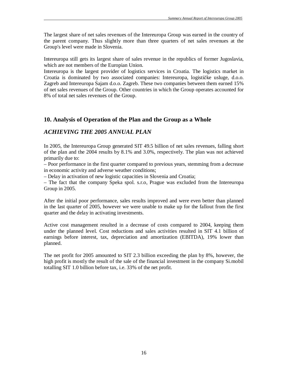The largest share of net sales revenues of the Intereuropa Group was earned in the country of the parent company. Thus slightly more than three quarters of net sales revenues at the Group's level were made in Slovenia.

Intereuropa still gets its largest share of sales revenue in the republics of former Jugoslavia, which are not members of the Europian Union.

Intereuropa is the largest provider of logistics services in Croatia. The logistics market in Croatia is dominated by two associated companies: Intereuropa, logističke usluge, d.o.o. Zagreb and Intereuropa Sajam d.o.o. Zagreb. These two companies between them earned 15% of net sales revenues of the Group. Other countries in which the Group operates accounted for 8% of total net sales revenues of the Group.

#### **10. Analysis of Operation of the Plan and the Group as a Whole**

## *ACHIEVING THE 2005 ANNUAL PLAN*

In 2005, the Intereuropa Group generated SIT 49.5 billion of net sales revenues, falling short of the plan and the 2004 results by 8.1% and 3.0%, respectively. The plan was not achieved primarily due to:

– Poor performance in the first quarter compared to previous years, stemming from a decrease in economic activity and adverse weather conditions;

– Delay in activation of new logistic capacities in Slovenia and Croatia;

– The fact that the company Speka spol. s.r.o, Prague was excluded from the Intereuropa Group in 2005.

After the initial poor performance, sales results improved and were even better than planned in the last quarter of 2005, however we were unable to make up for the fallout from the first quarter and the delay in activating investments.

Active cost management resulted in a decrease of costs compared to 2004, keeping them under the planned level. Cost reductions and sales activities resulted in SIT 4.1 billion of earnings before interest, tax, depreciation and amortization (EBITDA), 19% lower than planned.

The net profit for 2005 amounted to SIT 2.3 billion exceeding the plan by 8%, however, the high profit is mostly the result of the sale of the financial investment in the company Si.mobil totalling SIT 1.0 billion before tax, i.e. 33% of the net profit.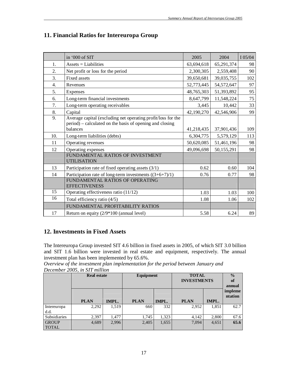# **11. Financial Ratios for Intereuropa Group**

|     | in '000 of SIT                                                       | 2005       | 2004       | I 05/04 |
|-----|----------------------------------------------------------------------|------------|------------|---------|
| 1.  | $\text{Assets} = \text{Liabilities}$                                 | 63,694,618 | 65,291,374 | 98      |
| 2.  | Net profit or loss for the period                                    | 2,300,305  | 2,559,408  | 90      |
| 3.  | <b>Fixed assets</b>                                                  | 39,650,681 | 39,035,755 | 102     |
| 4.  | Revenues                                                             | 52,773,445 | 54,572,647 | 97      |
| 5.  | Expenses                                                             | 48,765,303 | 51,393,892 | 95      |
| 6.  | Long-term financial investments                                      | 8,647,799  | 11,548,224 | 75      |
| 7.  | Long-term operating receivables                                      | 3,445      | 10,442     | 33      |
| 8.  | Capital                                                              | 42,190,270 | 42,546,906 | 99      |
| 9.  | Average capital (excluding net operating profit/loss for the         |            |            |         |
|     | period) – calculated on the basis of opening and closing<br>balances | 41,218,435 | 37,901,436 | 109     |
| 10. | Long-term liabilities (debts)                                        | 6,304,775  | 5,579,129  | 113     |
| 11  | Operating revenues                                                   | 50,620,085 | 51,461,196 | 98      |
| 12  | Operating expenses                                                   | 49,096,698 | 50,155,291 | 98      |
|     | FUNDAMENTAL RATIOS OF INVESTMENT<br><b>UTILISATION</b>               |            |            |         |
| 13  | Participation rate of fixed operating assets $(3/1)$                 | 0.62       | 0.60       | 104     |
| 14  | Participation rate of long-term investments $((3+6+7)/1)$            | 0.76       | 0.77       | 98      |
|     | FUNDAMENTAL RATIOS OF OPERATING<br><b>EFFECTIVENESS</b>              |            |            |         |
| 15  | Operating effectiveness ratio (11/12)                                | 1.03       | 1.03       | 100     |
| 16  | Total efficiency ratio (4/5)                                         | 1.08       | 1.06       | 102     |
|     | FUNDAMENTAL PROFITABILITY RATIOS                                     |            |            |         |
| 17  | Return on equity (2/9*100 (annual level)                             | 5.58       | 6.24       | 89      |

## **12. Investments in Fixed Assets**

The Intereuropa Group invested SIT 4.6 billion in fixed assets in 2005, of which SIT 3.0 billion and SIT 1.6 billion were invested in real estate and equipment, respectively. The annual investment plan has been implemented by 65.6%.

*Overview of the investment plan implementation for the period between January and December 2005, in SIT million*

|                              | <b>Real estate</b> |       | Equipment   |       | <b>TOTAL</b><br><b>INVESTMENTS</b> |       | $\frac{0}{0}$<br>of<br>annual |
|------------------------------|--------------------|-------|-------------|-------|------------------------------------|-------|-------------------------------|
|                              | <b>PLAN</b>        | IMPL. | <b>PLAN</b> | IMPL. | <b>PLAN</b>                        | IMPL. | impleme<br>ntation            |
| Intereuropa<br>d.d.          | 2,292              | 1,519 | 660         | 332   | 2,952                              | 1,851 | 62.7                          |
| <b>Subsidiaries</b>          | 2,397              | 1,477 | 1,745       | 1,323 | 4,142                              | 2,800 | 67.6                          |
| <b>GROUP</b><br><b>TOTAL</b> | 4,689              | 2,996 | 2,405       | 1,655 | 7,094                              | 4,651 | 65.6                          |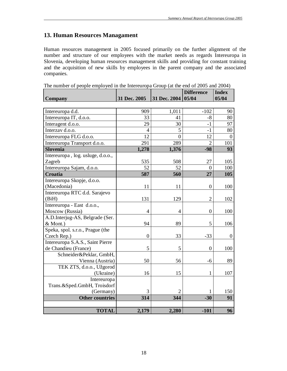# **13. Human Resources Managament**

Human resources management in 2005 focused primarily on the further alignment of the number and structure of our employees with the market needs as regards Intereuropa in Slovenia, developing human resources management skills and providing for constant training and the acquisition of new skills by employees in the parent company and the associated companies.

| The number of people employed in the interetiopa Group (at the end of 2005 and 2004) |                  |              | <b>Difference</b> | <b>Index</b>   |
|--------------------------------------------------------------------------------------|------------------|--------------|-------------------|----------------|
| <b>Company</b>                                                                       | 31 Dec. 2005     | 31 Dec. 2004 | 05/04             | 05/04          |
|                                                                                      |                  |              |                   |                |
| Intereuropa d.d.                                                                     | 909              | 1,011        | $-102$            | 90             |
| Intereuropa IT, d.o.o.                                                               | 33               | 41           | $-8$              | 80             |
| Interagent d.o.o.                                                                    | 29               | 30           | $-1$              | 97             |
| Interzav d.o.o.                                                                      | 4                | 5            | $-1$              | 80             |
| Intereuropa FLG d.o.o.                                                               | 12               | $\theta$     | 12                | $\overline{0}$ |
| Intereuropa Transport d.o.o.                                                         | 291              | 289          | $\overline{2}$    | 101            |
| <b>Slovenia</b>                                                                      | 1,278            | 1,376        | $-98$             | 93             |
| Intereuropa, log. usluge, d.o.o.,                                                    |                  |              |                   |                |
| Zagreb                                                                               | 535              | 508          | 27                | 105            |
| Intereuropa Sajam, d.o.o.                                                            | 52               | 52           | $\Omega$          | 100            |
| Croatia                                                                              | 587              | 560          | 27                | 105            |
| Intereuropa Skopje, d.o.o.                                                           |                  |              |                   |                |
| (Macedonia)                                                                          | 11               | 11           | $\boldsymbol{0}$  | 100            |
| Intereuropa RTC d.d. Sarajevo                                                        |                  |              |                   |                |
| (BiH)                                                                                | 131              | 129          | $\overline{2}$    | 102            |
| Intereuropa - East d.o.o.,                                                           |                  |              |                   |                |
| Moscow (Russia)                                                                      | $\overline{4}$   | 4            | $\boldsymbol{0}$  | 100            |
| A.D.Interjug-AS, Belgrade (Ser.                                                      |                  |              |                   |                |
| & Mont.)                                                                             | 94               | 89           | 5                 | 106            |
| Speka, spol. s.r.o., Prague (the                                                     |                  |              |                   |                |
| Czech Rep.)                                                                          | $\boldsymbol{0}$ | 33           | $-33$             | 0              |
| Intereuropa S.A.S., Saint Pierre                                                     |                  |              |                   |                |
| de Chandieu (France)                                                                 | 5                | 5            | $\boldsymbol{0}$  | 100            |
| Schneider&Peklar, GmbH,                                                              |                  |              |                   |                |
| Vienna (Austria)                                                                     | 50               | 56           | $-6$              | 89             |
| TEK ZTS, d.o.o., Užgorod                                                             |                  |              |                   |                |
| (Ukraine)                                                                            | 16               | 15           | $\mathbf{1}$      | 107            |
| Intereuropa                                                                          |                  |              |                   |                |
| Trans.&Sped.GmbH, Troisdorf                                                          |                  |              |                   |                |
| (Germany)                                                                            | 3                |              | 1                 | 150            |
| <b>Other countries</b>                                                               | 314              | 344          | $-30$             | 91             |
|                                                                                      |                  |              |                   |                |
| <b>TOTAL</b>                                                                         | 2,179            | 2,280        | $-101$            | 96             |

The number of people employed in the Intereuropa Group (at the end of 2005 and 2004)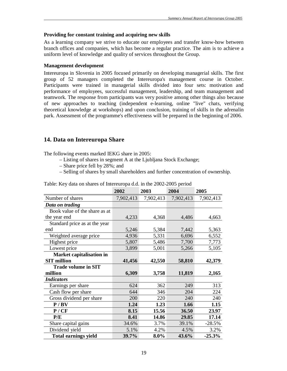#### **Providing for constant training and acquiring new skills**

As a learning company we strive to educate our employees and transfer know-how between branch offices and companies, which has become a regular practice. The aim is to achieve a uniform level of knowledge and quality of services throughout the Group.

#### **Management development**

Intereuropa in Slovenia in 2005 focused primarily on developing managerial skills. The first group of 52 managers completed the Intereuropa's management course in October. Participants were trained in managerial skills divided into four sets: motivation and performance of employees, successful management, leadership, and team management and teamwork. The response from participants was very positive among other things also because of new approaches to teaching (independent e-learning, online "live" chats, verifying theoretical knowledge at workshops) and upon conclusion, training of skills in the adrenalin park. Assessment of the programme's effectiveness will be prepared in the beginning of 2006.

## **14. Data on Intereuropa Share**

The following events marked IEKG share in 2005:

- Listing of shares in segment A at the Ljubljana Stock Exchange;
- Share price fell by 28%; and
- Selling of shares by small shareholders and further concentration of ownership.

|                               | 2002      | 2003      | 2004      | 2005      |
|-------------------------------|-----------|-----------|-----------|-----------|
| Number of shares              | 7,902,413 | 7,902,413 | 7,902,413 | 7,902,413 |
| Data on trading               |           |           |           |           |
| Book value of the share as at |           |           |           |           |
| the year end                  | 4,233     | 4,368     | 4,486     | 4,663     |
| Standard price as at the year |           |           |           |           |
| end                           | 5,246     | 5,384     | 7,442     | 5,363     |
| Weighted average price        | 4,936     | 5,331     | 6,696     | 6,552     |
| Highest price                 | 5,807     | 5,486     | 7,700     | 7,773     |
| Lowest price                  | 3,899     | 5,001     | 5,266     | 5,105     |
| Market capitalisation in      |           |           |           |           |
| <b>SIT</b> million            | 41,456    | 42,550    | 58,810    | 42,379    |
| <b>Trade volume in SIT</b>    |           |           |           |           |
| million                       | 6,309     | 3,758     | 11,819    | 2,165     |
| <b>Indicators</b>             |           |           |           |           |
| Earnings per share            | 624       | 362       | 249       | 313       |
| Cash flow per share           | 644       | 346       | 204       | 224       |
| Gross dividend per share      | 200       | 220       | 240       | 240       |
| P / BV                        | 1.24      | 1.23      | 1.66      | 1.15      |
| P/CF                          | 8.15      | 15.56     | 36.50     | 23.97     |
| P/E                           | 8.41      | 14.86     | 29.85     | 17.14     |
| Share capital gains           | 34.6%     | 3.7%      | 39.1%     | $-28.5%$  |
| Dividend yield                | 5.1%      | 4.2%      | 4.5%      | 3.2%      |
| <b>Total earnings yield</b>   | 39.7%     | 8.0%      | 43.6%     | $-25.3%$  |

Table: Key data on shares of Intereuropa d.d. in the 2002-2005 period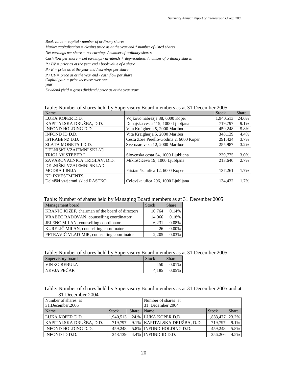*Book value = capital / number of ordinary shares Market capitalisation = closing price as at the year end \* number of listed shares Net earnings per share = net earnings / number of ordinary shares Cash flow per share = net earnings - dividends + depreciation) / number of ordinary shares P / BV = price as at the year end / book value of a share P / E = price as at the year end / earnings per share P / CF = price as at the year end / cash flow per share Capital gain = price increase over one year* 

*Dividend yield = gross dividend / price as at the year start* 

Table: Number of shares held by Supervisory Board members as at 31 December 2005

| Name                           |                                         | <b>Stock</b> | Share |
|--------------------------------|-----------------------------------------|--------------|-------|
| LUKA KOPER D.D.                | Vojkovo nabrežje 38, 6000 Koper         | 1,940,513    | 24.6% |
| KAPITALSKA DRUŽBA, D.D.        | Dunajska cesta 119, 1000 Ljubljana      | 719.797      | 9.1%  |
| INFOND HOLDING D.D.            | Vita Kraigherja 5, 2000 Maribor         | 459,248      | 5.8%  |
| INFOND ID D.D.                 | Vita Kraigherja 5, 2000 Maribor         | 348,139      | 4.4%  |
| <b>ISTRABENZ D.D.</b>          | Cesta Zore Perello-Godina 2, 6000 Koper | 291,424      | 3.7%  |
| ZLATA MONETA I D.D.            | Svetozarevska 12, 2000 Maribor          | 255,987      | 3.2%  |
| DELNIŠKI VZAJEMNI SKLAD        |                                         |              |       |
| <b>TRIGLAV STEBER I</b>        | Slovenska cesta 54, 1000 Ljubljana      | 239,775      | 3.0%  |
| ZAVAROVALNICA TRIGLAV, D.D.    | Mikloščičeva 19, 1000 Ljubljana         | 213.640      | 2.7%  |
| DELNIŠKI VZAJEMNI SKLAD        |                                         |              |       |
| <b>MODRA LINIJA</b>            | Pristaniška ulica 12, 6000 Koper        | 137,261      | 1.7%  |
| KD INVESTMENTS.                |                                         |              |       |
| Delniški vzajemni sklad RASTKO | Celovška ulica 206, 1000 Ljubljana      | 134.432      | 1.7%  |

| Table: Number of shares held by Managing Board members as at 31 December 2005 |  |  |
|-------------------------------------------------------------------------------|--|--|
|                                                                               |  |  |

| Management board                                 | <b>Stock</b> | <b>Share</b> |
|--------------------------------------------------|--------------|--------------|
| KRANJC JOŽEF, chairman of the board of directors | 10,764       | 0.14%        |
| VRABEC RADOVAN, counselling coordinatorr         | 14,066       | 0.18%        |
| JELENC MILAN, counselling coordinator            | 6,231        | 0.08%        |
| KURELIČ MILAN, counselling coordinator           | 26           | 0.00%        |
| PETRAVIĆ VLADIMIR, counselling coordinator       | 2.205        | 0.03%        |

| Table: Number of shares held by Supervisory Board members as at 31 December 2005 |  |  |
|----------------------------------------------------------------------------------|--|--|
|                                                                                  |  |  |

| Supervisory board     | Stock | <b>Share</b> |
|-----------------------|-------|--------------|
| <b>I VINKO REBULA</b> | 450   | 0.01%        |
| <b>NEVJA PEČAR</b>    | 4.185 | 0.05%        |

Table: Number of shares held by Supervisory Board members as at 31 December 2005 and at 31 December 2004

| Number of shares at     |              |                   | Number of shares at            |           |              |  |
|-------------------------|--------------|-------------------|--------------------------------|-----------|--------------|--|
| 31.December.2005        |              | 31. December 2004 |                                |           |              |  |
| Name                    | <b>Stock</b> | Share             | Name                           | Stock     | <b>Share</b> |  |
| I LUKA KOPER D.D.       | 1.940,513    |                   | 24.% LUKA KOPER D.D.           | 1.833.477 | 23.2%        |  |
| KAPITALSKA DRUŽBA, D.D. | 719.797      |                   | 9.1%   KAPITALSKA DRUŽBA, D.D. | 719.797   | 9.1%         |  |
| INFOND HOLDING D.D.     | 459,248      |                   | 5.8% INFOND HOLDING D.D.       | 459.248   | 5.8%         |  |
| I INFOND ID D.D.        | 348.139      |                   | 4.4%   INFOND ID D.D.          | 356,266   | 4.5%         |  |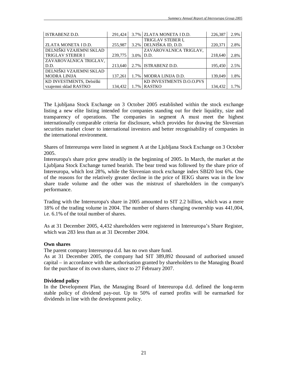| ISTRABENZ D.D.           | 291.424 |              | 3.7% ZLATA MONETA I D.D. | 226,387 | 2.9% |
|--------------------------|---------|--------------|--------------------------|---------|------|
|                          |         |              | <b>TRIGLAV STEBER I.</b> |         |      |
| ZLATA MONETA I D.D.      | 255,987 | 3.2%         | DELNIŠKA ID, D.D.        | 220,371 | 2.8% |
| DELNIŠKI VZAJEMNI SKLAD  |         |              | ZAVAROVALNICA TRIGLAV,   |         |      |
| <b>TRIGLAV STEBER I</b>  | 239,775 | $3.0\%$ D.D. |                          | 218,640 | 2.8% |
| ZAVAROVALNICA TRIGLAV,   |         |              |                          |         |      |
| D.D.                     | 213.640 |              | 2.7% ISTRABENZ D.D.      | 195.450 | 2.5% |
| DELNIŠKI VZAJEMNI SKLAD  |         |              |                          |         |      |
| <b>MODRA LINIJA</b>      | 137.261 |              | 1.7%   MODRA LINIJA D.D. | 139,049 | 1.8% |
| KD INVESTMENTS, Delniški |         |              | KD INVESTMENTS D.O.O.PVS |         |      |
| vzajemni sklad RASTKO    | 134,432 | 1.7%         | <b>RASTKO</b>            | 134,432 | 1.7% |

The Ljubljana Stock Exchange on 3 October 2005 established within the stock exchange listing a new elite listing intended for companies standing out for their liquidity, size and transparency of operations. The companies in segment A must meet the highest internationally comparable criteria for disclosure, which provides for drawing the Slovenian securities market closer to international investors and better recognisability of companies in the international environment.

Shares of Intereuropa were listed in segment A at the Ljubljana Stock Exchange on 3 October 2005.

Intereuropa's share price grew steadily in the beginning of 2005. In March, the market at the Ljubljana Stock Exchange turned bearish. The bear trend was followed by the share price of Intereuropa, which lost 28%, while the Slovenian stock exchange index SBI20 lost 6%. One of the reasons for the relatively greater decline in the price of IEKG shares was in the low share trade volume and the other was the mistrust of shareholders in the company's performance.

Trading with the Intereuropa's share in 2005 amounted to SIT 2.2 billion, which was a mere 18% of the trading volume in 2004. The number of shares changing ownership was 441,004, i.e. 6.1% of the total number of shares.

As at 31 December 2005, 4,432 shareholders were registered in Intereuropa's Share Register, which was 283 less than as at 31 December 2004.

#### **Own shares**

The parent company Intereuropa d.d. has no own share fund.

As at 31 December 2005, the company had SIT 389,892 thousand of authorised unused capital – in accordance with the authorisation granted by shareholders to the Managing Board for the purchase of its own shares, since to 27 February 2007.

#### **Dividend policy**

In the Development Plan, the Managing Board of Intereuropa d.d. defined the long-term stable policy of dividend pay-out. Up to 50% of earned profits will be earmarked for dividends in line with the development policy.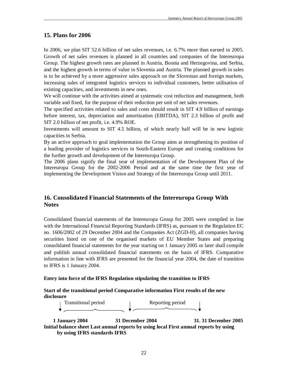## **15. Plans for 2006**

In 2006, we plan SIT 52.6 billion of net sales revenues, i.e. 6.7% more than earned in 2005. Growth of net sales revenues is planned in all countries and companies of the Intereuropa Group. The highest growth rates are planned in Austria, Bosnia and Herzegovina, and Serbia, and the highest growth in terms of value in Slovenia and Austria. The planned growth in sales is to be achieved by a more aggressive sales approach on the Slovenian and foreign markets, increasing sales of integrated logistics services to individual customers, better utilisation of existing capacities, and investments in new ones.

We will continue with the activities aimed at systematic cost reduction and management, both variable and fixed, for the purpose of their reduction per unit of net sales revenues.

The specified activities related to sales and costs should result in SIT 4.9 billion of earnings before interest, tax, depreciation and amortization (EBITDA), SIT 2.3 billion of profit and SIT 2.0 billion of net profit, i.e. 4.9% ROE.

Investments will amount to SIT 4.5 billion, of which nearly half will be in new logistic capacities in Serbia.

By an active approach to goal implementation the Group aims at strengthening its position of a leading provider of logistics services in South-Eastern Europe and creating conditions for the further growth and development of the Intereuropa Group.

The 2006 plans signify the final year of implementation of the Development Plan of the Intereuropa Group for the 2002-2006 Period and at the same time the first year of implementing the Development Vision and Strategy of the Intereuropa Group until 2011.

## **16. Consolidated Financial Statements of the Intereuropa Group With Notes**

Consolidated financial statements of the Intereuropa Group for 2005 were compiled in line with the International Financial Reporting Standards (IFRS) as, pursuant to the Regulation EC no. 1606/2002 of 29 December 2004 and the Companies Act (ZGD-H), all companies having securities listed on one of the organised markets of EU Member States and preparing consolidated financial statements for the year starting on 1 January 2005 or later shall compile and publish annual consolidated financial statements on the basis of IFRS. Comparative information in line with IFRS are presented for the financial year 2004, the date of transition to IFRS is 1 January 2004.

#### **Entry into force of the IFRS Regulation stipulating the transition to IFRS**

#### **Start of the transitional period Comparative information First results of the new disclosure**

Transitional period and reporting period

 **1 January 2004 31 December 2004 31. 31 December 2005 Initial balance sheet Last annual reports by using local First annual reports by using by using IFRS standards IFRS**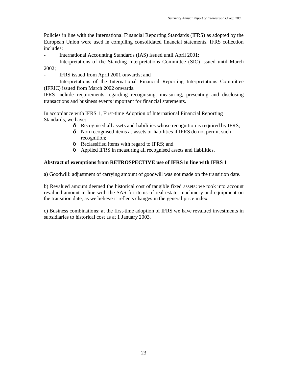Policies in line with the International Financial Reporting Standards (IFRS) as adopted by the European Union were used in compiling consolidated financial statements. IFRS collection includes:

International Accounting Standards (IAS) issued until April 2001;

Interpretations of the Standing Interpretations Committee (SIC) issued until March 2002;

- IFRS issued from April 2001 onwards; and

- Interpretations of the International Financial Reporting Interpretations Committee (IFRIC) issued from March 2002 onwards.

IFRS include requirements regarding recognising, measuring, presenting and disclosing transactions and business events important for financial statements.

In accordance with IFRS 1, First-time Adoption of International Financial Reporting Standards, we have:

- ð Recognised all assets and liabilities whose recognition is required by IFRS;
- ð Non recognised items as assets or liabilities if IFRS do not permit such recognition;
- ð Reclassified items with regard to IFRS; and
- ð Applied IFRS in measuring all recognised assets and liabilities.

## **Abstract of exemptions from RETROSPECTIVE use of IFRS in line with IFRS 1**

a) Goodwill: adjustment of carrying amount of goodwill was not made on the transition date.

b) Revalued amount deemed the historical cost of tangible fixed assets: we took into account revalued amount in line with the SAS for items of real estate, machinery and equipment on the transition date, as we believe it reflects changes in the general price index.

c) Business combinations: at the first-time adoption of IFRS we have revalued investments in subsidiaries to historical cost as at 1 January 2003.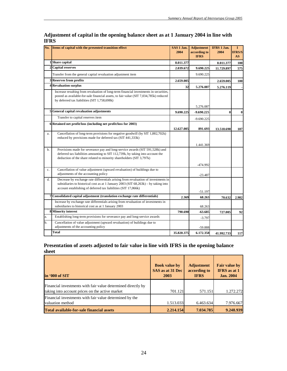|             | No. Items of capital with the presented transition effect                                                                                                                                                                                      | SAS 1 Jan.<br>2004 | <b>Adjustment</b><br>according to<br><b>IFRS</b> | IFRS 1 Jan.<br>2004 | $\mathbf{I}$<br><b>IFRS/S</b><br>AS |
|-------------|------------------------------------------------------------------------------------------------------------------------------------------------------------------------------------------------------------------------------------------------|--------------------|--------------------------------------------------|---------------------|-------------------------------------|
|             | 1Share capital                                                                                                                                                                                                                                 | 8.011.377          |                                                  | 8.011.377           | 100                                 |
|             | 2 Capital reserves                                                                                                                                                                                                                             | 2.039.672          | 9.690.225                                        | 11.729.897          | 575                                 |
|             | Transfer from the general capital revaluation adjustment item                                                                                                                                                                                  |                    | 9.690.225                                        |                     |                                     |
|             | 3 Reserves from profits                                                                                                                                                                                                                        | 2.659.005          |                                                  | 2.659.005           | 100                                 |
|             | 4Revaluation surplus                                                                                                                                                                                                                           | 32                 | 5.276.087                                        | 5.276.119           |                                     |
|             | Increase resulting from revaluation of long-term financial investments in securities,<br>posted as available-for-sale financial assets, to fair value (SIT 7,034,785k) reduced<br>by deferred tax liabilities (SIT 1,758,698k)                 |                    |                                                  |                     |                                     |
|             |                                                                                                                                                                                                                                                |                    | 5.276.087                                        |                     |                                     |
|             | 5 General capital revaluation adjustments                                                                                                                                                                                                      | 9.690.225          | $-9.690.225$                                     | $\bf{0}$            | $\mathbf{0}$                        |
|             | Transfer to capital reserves item                                                                                                                                                                                                              |                    | $-9.690.225$                                     |                     |                                     |
|             | 6 Retained net profit/loss (including net profit/loss for 2003)                                                                                                                                                                                | 12.627.005         | 891.693                                          | 13.518.698          | 107                                 |
| a.          | Cancellation of long-term provisions for negative goodwill (by SIT 1,882,702k)<br>reduced by provisions made for deferred tax (SIT 441,333k)                                                                                                   |                    |                                                  |                     |                                     |
| b.          | Provisions made for severance pay and long-service awards (SIT 591,528k) and<br>deferred tax liabilities amounting to SIT 112,739k, by taking into account the<br>deduction of the share related to minority shareholders (SIT 3,797k)         |                    | 1.441.369<br>-474.992                            |                     |                                     |
| $c_{\cdot}$ | Cancellation of value adjustment (upward revaluation) of buildings due to<br>adjustments of the accounting policy                                                                                                                              |                    | -23.487                                          |                     |                                     |
| d.          | Decrease by exchange rate differentials arising from revaluation of investments in<br>subsidiaries to historical cost as at 1 January 2003 (SIT $68,263k$ ) – by taking into<br>account establishing of deferred tax liabilities (SIT 17,066k) |                    | $-51.197$                                        |                     |                                     |
|             | Consolidated capital adjustment (translation exchange rate differentials)                                                                                                                                                                      | 2.369              | 68.263                                           | 70.632              | 2.982                               |
|             | Increase by exchange rate differentials arising from revaluation of investments in<br>subsidiaries to historical cost as at 1 January 2003                                                                                                     |                    | 68.263                                           |                     |                                     |
|             | 8 Minority interest                                                                                                                                                                                                                            | 790.690            | -63.685                                          | 727.005             | 92                                  |
| a.          | Establishing long-term provisions for severance pay and long-service awards                                                                                                                                                                    |                    | $-3.797$                                         |                     |                                     |
| b.          | Cancellation of value adjustment (upward revaluation) of buildings due to<br>adjustments of the accounting policy                                                                                                                              |                    | $-59.888$                                        |                     |                                     |
|             | Total                                                                                                                                                                                                                                          | 35.820.375         | 6.172.358                                        | 41.992.733          | 117                                 |

## **Adjustment of capital in the opening balance sheet as at 1 January 2004 in line with IFRS**

## **Presentation of assets adjusted to fair value in line with IFRS in the opening balance sheet**

| in '000 of SIT                                                                                                  | <b>Book value by</b><br>SAS as at 31 Dec<br>2003 | <b>Adjustment</b><br>according to<br><b>IFRS</b> | <b>Fair value by</b><br><b>IFRS</b> as at 1<br><b>Jan. 2004</b> |
|-----------------------------------------------------------------------------------------------------------------|--------------------------------------------------|--------------------------------------------------|-----------------------------------------------------------------|
| Financial investments with fair value determined directly by<br>taking into account prices on the active market | 701.121                                          | 571.151                                          | 1.272.272                                                       |
| Financial investments with fair value determined by the<br>valuation method                                     | 1.513.033                                        | 6.463.634                                        | 7.976.667                                                       |
| <b>Total available-for-sale financial assets</b>                                                                | 2.214.154                                        | 7.034.785                                        | 9.248.939                                                       |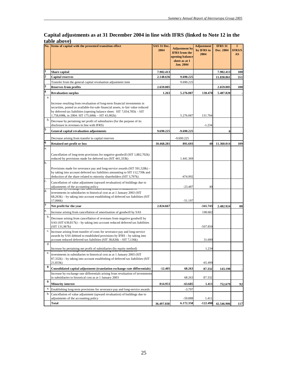## **Capital adjustments as at 31 December 2004 in line with IFRS (linked to Note 12 in the table above)**

|                  | No. Items of capital with the presented transition effect                                                                                                                                                                                                                                     | SAS 31 Dec.<br>2004 | <b>Adjustment</b> by<br><b>IFRS</b> from the<br>opening balance<br>sheet as at 1<br>Jan. 2004 | <b>Adjustment</b><br>by IFRS in<br>2004 | <b>IFRS 31</b><br>Dec. 2004 | $\mathbf I$<br><b>IFRS/S</b><br>AS |
|------------------|-----------------------------------------------------------------------------------------------------------------------------------------------------------------------------------------------------------------------------------------------------------------------------------------------|---------------------|-----------------------------------------------------------------------------------------------|-----------------------------------------|-----------------------------|------------------------------------|
| 1                | Share capital                                                                                                                                                                                                                                                                                 | 7.902.413           |                                                                                               |                                         | 7.902.413                   | 100                                |
| 2                | <b>Capital reserves</b>                                                                                                                                                                                                                                                                       | 2.148.636           | 9.690.225                                                                                     |                                         | 11.838.861                  | 551                                |
|                  | Transfer from the general capital revaluation adjustment item                                                                                                                                                                                                                                 |                     | 9.690.225                                                                                     |                                         |                             |                                    |
| 3                | <b>Reserves from profits</b>                                                                                                                                                                                                                                                                  | 2.659.005           |                                                                                               |                                         | 2.659.005                   | 100                                |
| 4                | <b>Revaluation surplus</b>                                                                                                                                                                                                                                                                    | 1.263               | 5.276.087                                                                                     | 130.470                                 | 5.407.820                   |                                    |
| a.<br>b.         | Increase resulting from revaluation of long-term financial investments in<br>securities, posted as available-for-sale financial assets, to fair value reduced<br>by deferred tax liabilities (opening balance sheet: SIT 7,034,785k - SIT<br>1,758,698k, in 2004: SIT 175,606k - SIT 43,902k) |                     | 5.276.087                                                                                     | 131.704                                 |                             |                                    |
|                  | Decrease by pertaining net profit of subsidiaries (for the purpose of its<br>disclosure in revenues in line with IFRS)                                                                                                                                                                        |                     |                                                                                               | $-1.234$                                |                             |                                    |
| 5                | General capital revaluation adjustments                                                                                                                                                                                                                                                       | 9.690.225           | $-9.690.225$                                                                                  |                                         | $\bf{0}$                    |                                    |
|                  | Decrease arising from transfer to capital reserves                                                                                                                                                                                                                                            |                     | $-9.690.225$                                                                                  |                                         |                             |                                    |
| 6                | Retained net profit or loss                                                                                                                                                                                                                                                                   | 10.468.281          | 891.693                                                                                       | 40                                      | 11.360.014                  | 109                                |
| a.               |                                                                                                                                                                                                                                                                                               |                     |                                                                                               |                                         |                             |                                    |
|                  | Cancellation of long-term provisions for negative goodwill (SIT 1,882,702k)<br>reduced by provisions made for deferred tax (SIT 441,333k)                                                                                                                                                     |                     | 1.441.369                                                                                     |                                         |                             |                                    |
| b.               | Provisions made for severance pay and long-service awards (SIT 591,528k) –<br>by taking into account deferred tax liabilities amounting to SIT 112,739k and<br>deduction of the share related to minority shareholders (SIT 3,797k)                                                           |                     | $-474.992$                                                                                    |                                         |                             |                                    |
| c.               | Cancellation of value adjustment (upward revaluation) of buildings due to<br>adjustments of the accounting policy<br>arising from revariation of                                                                                                                                              |                     | -23.487                                                                                       | 40                                      |                             |                                    |
| d.               | investments in subsidiaries to historical cost as at 1 January 2003 (SIT<br>$(68,263k)$ – by taking into account establishing of deferred tax liabilities (SIT)<br>17,066k)                                                                                                                   |                     | $-51.197$                                                                                     |                                         |                             |                                    |
| 7                | Net profit for the year                                                                                                                                                                                                                                                                       | 2.824.667           |                                                                                               | $-341.743$                              | 2.482.924                   | 88                                 |
| a.               | Increase arising from cancellation of amortisation of goodwill by SAS                                                                                                                                                                                                                         |                     |                                                                                               | 198.682                                 |                             |                                    |
| b.               | Decrease arising from cancellation of revenues from negative goodwill by<br>SAS (SIT 639,817k) – by taking into account reduced deferred tax liabilities<br>(ST 131,967k)                                                                                                                     |                     |                                                                                               | $-507.850$                              |                             |                                    |
| c.               | Increase arising from transfer of costs for severance pay and long-service<br>awards by SAS debited to established provisions by IFRS – by taking into<br>account reduced deferred tax liabilities (SIT 38,826k - SIT 7,136k)                                                                 |                     |                                                                                               | 31.690                                  |                             |                                    |
| d.               | Increase by pertaining net profit of subsidiaries (by equity method)                                                                                                                                                                                                                          |                     |                                                                                               | 1.234                                   |                             |                                    |
| e.               | investments in subsidiaries to historical cost as at 1 January 2003 (SIT<br>87,332k) – by taking into account establishing of deferred tax liabilities (SIT)<br>21,833k)                                                                                                                      |                     |                                                                                               | -65.499                                 |                             |                                    |
| 8                | Consolidated capital adjustment (translation exchange rate differentials)                                                                                                                                                                                                                     | $-12.405$           | 68.263                                                                                        | 87.332                                  | 143.190                     |                                    |
|                  | Increase by exchange rate differentials arising from revaluation of investments<br>in subsidiaries to historical cost as at 1 January 2003                                                                                                                                                    |                     | 68.263                                                                                        | 87.332                                  |                             |                                    |
| $\boldsymbol{Q}$ | <b>Minority interest</b>                                                                                                                                                                                                                                                                      | 814.953             | -63.685                                                                                       | 1.411                                   | 752.679                     | 92                                 |
| a.               | Establishing long-term provisions for severance pay and long-service awards                                                                                                                                                                                                                   |                     | $-3.797$                                                                                      |                                         |                             |                                    |
|                  | b. Cancellation of value adjustment (upward revaluation) of buildings due to<br>adjustments of the accounting policy                                                                                                                                                                          |                     | -59.888                                                                                       | 1.411                                   |                             |                                    |
|                  | Total                                                                                                                                                                                                                                                                                         | 36.497.038          | 6.172.358                                                                                     | $-122.490$                              | 42.546.906                  | 117                                |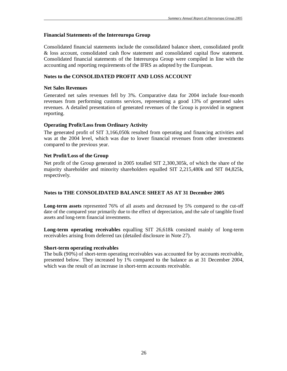#### **Financial Statements of the Intereuropa Group**

Consolidated financial statements include the consolidated balance sheet, consolidated profit & loss account, consolidated cash flow statement and consolidated capital flow statement. Consolidated financial statements of the Intereuropa Group were compiled in line with the accounting and reporting requirements of the IFRS as adopted by the European.

#### **Notes to the CONSOLIDATED PROFIT AND LOSS ACCOUNT**

#### **Net Sales Revenues**

Generated net sales revenues fell by 3%. Comparative data for 2004 include four-month revenues from performing customs services, representing a good 13% of generated sales revenues. A detailed presentation of generated revenues of the Group is provided in segment reporting.

#### **Operating Profit/Loss from Ordinary Activity**

The generated profit of SIT 3,166,050k resulted from operating and financing activities and was at the 2004 level, which was due to lower financial revenues from other investments compared to the previous year.

#### **Net Profit/Loss of the Group**

Net profit of the Group generated in 2005 totalled SIT 2,300,305k, of which the share of the majority shareholder and minority shareholders equalled SIT 2,215,480k and SIT 84,825k, respectively.

#### **Notes to THE CONSOLIDATED BALANCE SHEET AS AT 31 December 2005**

**Long-term assets** represented 76% of all assets and decreased by 5% compared to the cut-off date of the compared year primarily due to the effect of depreciation, and the sale of tangible fixed assets and long-term financial investments.

**Long-term operating receivables** equalling SIT 26,618k consisted mainly of long-term receivables arising from deferred tax (detailed disclosure in Note 27).

#### **Short-term operating receivables**

The bulk (90%) of short-term operating receivables was accounted for by accounts receivable, presented below. They increased by 1% compared to the balance as at 31 December 2004, which was the result of an increase in short-term accounts receivable.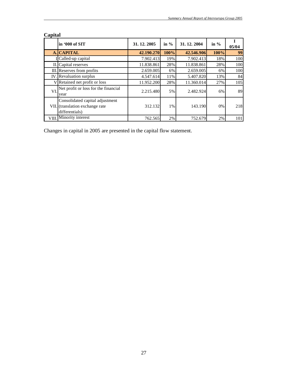|     | in '000 of SIT                                                                       | 31, 12, 2005 | in $\%$ | 31, 12, 2004 | in $\%$ | 05/04 |
|-----|--------------------------------------------------------------------------------------|--------------|---------|--------------|---------|-------|
|     | A. CAPITAL                                                                           | 42.190.270   | 100%    | 42.546.906   | 100%    | 99    |
|     | ICalled-up capital                                                                   | 7.902.413    | 19%     | 7.902.413    | 18%     | 100   |
|     | II. Capital reserves                                                                 | 11.838.861   | 28%     | 11.838.861   | 28%     | 100   |
|     | III. Reserves from profits                                                           | 2.659.005    | 6%      | 2.659.005    | 6%      | 100   |
|     | IV. Revaluation surplus                                                              | 4.547.614    | 11%     | 5.407.820    | 13%     | 84    |
|     | V Retained net profit or loss                                                        | 11.952.200   | 28%     | 11.360.014   | 27%     | 105   |
| VI. | Net profit or loss for the financial<br>year                                         | 2.215.480    | 5%      | 2.482.924    | 6%      | 89    |
|     | Consolidated capital adjustment<br>VII. (translation exchange rate<br>differentials) | 312.132      | $1\%$   | 143.190      | $0\%$   | 218   |
|     | VIII. Minority interest                                                              | 762.565      | 2%      | 752.679      | 2%      | 101   |

# **Capital**

Changes in capital in 2005 are presented in the capital flow statement.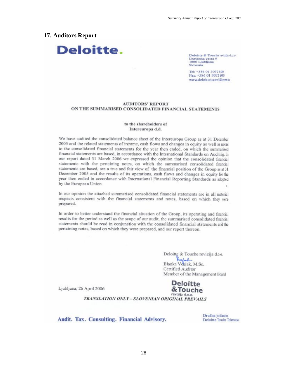## **17. Auditors Report**



Deloitte & Touche revizija d.o.o. Dunaiska cesta 9 1000 Ljubljana Slovenia

Tel: +386 01 3072 800 Fax: +386 01 3072 900 www.deloitte.com\Slovenia

#### **AUDITORS' REPORT** ON THE SUMMARISED CONSOLIDATED FINANCIAL STATEMENTS

#### to the shareholders of Intereuropa d.d.

We have audited the consolidated balance sheet of the Intereuropa Group as at 31 December 2005 and the related statements of income, cash flows and changes in equity as well as notes to the consolidated financial statements for the year then ended, on which the summarised financial statements are based, in accordance with the International Standards on Auditing. In our report dated 31 March 2006 we expressed the opinion that the consolidated financial statements with the pertaining notes, on which the summarised consolidated financial statements are based, are a true and fair view of the financial position of the Group as at 31 December 2005 and the results of its operations, cash flows and changes in equity for the year then ended in accordance with International Financial Reporting Standards as adopted by the European Union.

In our opinion the attached summarised consolidated financial statements are in all material respects consistent with the financial statements and notes, based on which they were prepared.

In order to better understand the financial situation of the Group, its operating and financial results for the period as well as the scope of our audit, the summarised consolidated financial statements should be read in conjunction with the consolidated financial statements and the pertaining notes, based on which they were prepared, and our report thereon.

> Deloitte & Touche revizija d.o.o. Wafal Blanka Vekjak, M.Sc. Certified Auditor Member of the Management Board

Ljubljana, 26 April 2006



TRANSLATION ONLY - SLOVENIAN ORIGINAL PREVAILS

Audit. Tax. Consulting. Financial Advisory.

Družba je članica **Deloitte Touche Tohmatsu**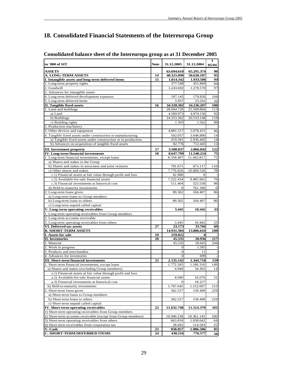# **18. Consolidated Financial Statements of the Intereuropa Group**

| in '000 of SIT                                                | <b>Note</b> | 31.12.2005   | 31.12.2004 | 1<br>05/04   |
|---------------------------------------------------------------|-------------|--------------|------------|--------------|
| <b>ASSETS</b>                                                 |             | 63.694.618   | 65.291.374 | 98           |
| <b>A. LONG-TERM ASSETS</b>                                    | 14          | 48.325.098   | 50.628.187 | 95           |
| I. Intangible assets and long-term deferred items             | 15          | 1.814.342    | 1.933.506  | 94           |
| 1. Long-term property rights                                  |             | 377.548      | 451.869    | 84           |
| 2. Goodwill                                                   |             | 1.243.692    | 1.278.570  | 97           |
| 3. Advances for intangible assets                             |             |              |            |              |
| 4. Long-term deferred development expenses                    |             | 187.145      | 179.826    | 104          |
| 5. Long-term deferred items                                   |             | 5.957        | 23.241     | 26           |
| <b>II. Tangible fixed assets</b>                              | 16          | 34.328.302   | 34.236.207 | 100          |
| 1. Land and buildings                                         |             | 28.944.728   | 25.508.866 | 113          |
| a) Land                                                       |             | 4.589.973    | 4.974.156  | 92           |
| b) Buildings                                                  |             | 24.353.362   | 20.533.148 | 119          |
| c) Building rights                                            |             | 1.393        | 1.562      | 89           |
| 2. Production machinery                                       |             |              |            |              |
| 3. Other devices and equipment                                |             | 4.881.517    | 5.078.451  | 96           |
| 4. Tangible fixed assets under construction or manufacturing  |             | 502.057      | 3.648.890  | 14           |
| a) Tangible fixed assets under construction or in production  |             | 419.281      | 2.936.445  | 14           |
| b) Advances on acquisition of tangible fixed assets           |             | 82.776       | 712.445    | 12           |
| <b>III.</b> Investment property                               | 17          | 3.508.037    | 2.866.042  | 122          |
| <b>IV.</b> Long-term financial investments                    | 18          | 8.647.799    | 11.548.224 | 75           |
| 1. Long-term financial investments, except loans              |             | 8.558.497    | 11.443.817 | 75           |
| a) Shares and stakes in the Group                             |             |              |            |              |
| b) Shares and stakes in associates and joint ventures         |             | 781.671      | 673.117    | 116          |
| c) Other shares and stakes                                    |             | 7.776.826    | 10.009.520 | 78           |
| c.1) Financial assets at fair value through profit and loss   |             | 42.988       | 0          |              |
| c.2) Available-for-sale financial assets                      |             | 7.222.434    | 9.485.962  | 76           |
| c.3) Financial investments at historical cost                 |             | 511.404      | 523.558    | 98           |
| d) Held-to-maturity investments                               |             | $\Omega$     | 761.180    | $\mathbf{0}$ |
| 2. Long-term loans given                                      |             | 89.302       | 104.407    | 86           |
| a) Long-term loans to Group members                           |             |              |            |              |
| b) Long-term loans to others                                  |             | 89.302       | 104.407    | 86           |
| c) Long-term unpaid called capital                            |             |              |            |              |
| V. Long-term operating receivables                            |             | 3.445        | 10.442     | 33           |
| 1. Long-term operating receivables from Group members         |             |              |            |              |
| 2. Long-term accounts receivable                              |             |              |            |              |
| 3. Long-term operating receivables from others                |             | 3.445        | 10.442     | 33           |
| VI. Deferred tax assets                                       | 27          | 23.173       | 33.766     | 69           |
| <b>B. SHORT-TERM ASSETS</b>                                   |             | 14.931.304   | 13.886.610 | 108          |
| I. Assets for sale                                            | 19          | 259.022      |            |              |
| <b>II.</b> Inventories                                        | 20          | 45.535       | 20.936     | 217          |
| 1. Material                                                   |             | 45.535       | 18.643     | 244          |
| 2. Work in progress                                           |             | $\Omega$     | 1.583      |              |
| 3. Products and merchandise                                   |             | $\mathbf{0}$ | 11         |              |
| 4. Advances for inventories                                   |             | $\Omega$     | 699        |              |
| <b>III. Short-term financial investments</b>                  | 21          | 2.135.142    | 1.344.718  | 159          |
| 1. Short-term financial investments, except loans             |             | 1.772.585    | 1.186.310  | 149          |
| a) Shares and stakes (excluding Group members)                |             | 4.940        | 34.303     | 14           |
| a.1) Financial assets at fair value through profit and loss   |             |              |            |              |
| a.2) Available-for-sale financial assets                      |             | 4.940        | 16.076     | 31           |
| a.3) Financial investments at historical cost                 |             | $\Omega$     | 18.227     |              |
| b) Held-to-maturity investments                               |             | 1.767.645    | 1.152.007  | 153          |
| 2. Short-term loans given                                     |             | 362.557      | 158.408    | 229          |
| a) Short-term loans to Group members                          |             |              |            |              |
| b) Short-term loans to others                                 |             | 362.557      | 158.408    | 229          |
| c) Short-term unpaid called capital                           |             |              |            |              |
| IV. Short-term operating receivables                          | 22          | 11.632.748   | 11.514.370 | 101          |
| 1) Short-term operating receivables from Group members        |             |              |            |              |
| 2) Short-term accounts receivable (except from Group members) |             | 10.940.238   | 10.361.145 | 106          |
| 3) Short-term operating receivables from others               |             | 663.818      | 1.038.642  | 64           |
| 4) Short-term receivables from corporation tax                |             | 28.692       | 114.583    | 25           |
| V. Cash                                                       | 23          | 858.857      | 1.006.586  | 85           |
| C. SHORT-TERM DEFERRED ITEMS                                  | 24          | 438.216      | 776.577    | 56           |

## **Consolidated balance sheet of the Intereuropa group as at 31 December 2005**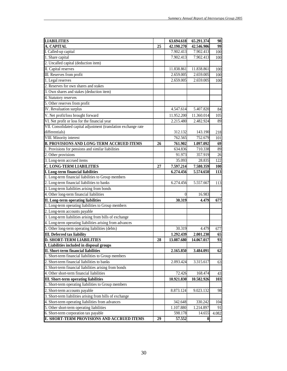| <b>LIABILITIES</b>                                              |    | 63.694.618 | 65.291.374 | 98    |
|-----------------------------------------------------------------|----|------------|------------|-------|
| A. CAPITAL                                                      | 25 | 42.190.270 | 42.546.906 | 99    |
| I. Called-up capital                                            |    | 7.902.413  | 7.902.413  | 100   |
| 1. Share capital                                                |    | 7.902.413  | 7.902.413  | 100   |
| 2. Uncalled capital (deduction item)                            |    |            |            |       |
| II. Capital reserves                                            |    | 11.838.861 | 11.838.861 | 100   |
| III. Reserves from profit                                       |    | 2.659.005  | 2.659.005  | 100   |
| 1. Legal reserves                                               |    | 2.659.005  | 2.659.005  | 100   |
| 2. Reserves for own shares and stakes                           |    |            |            |       |
| 3. Own shares and stakes (deduction item)                       |    |            |            |       |
| 4. Statutory reserves                                           |    |            |            |       |
| 5. Other reserves from profit                                   |    |            |            |       |
| <b>IV.</b> Revaluation surplus                                  |    | 4.547.614  | 5.407.820  | 84    |
| V. Net profit/loss brought forward                              |    | 11.952.200 | 11.360.014 | 105   |
| VI. Net profit or loss for the financial year                   |    | 2.215.480  | 2.482.924  | 89    |
| VII. Consolidated capital adjustment (translation exchange rate |    |            |            |       |
| differentials)                                                  |    | 312.132    | 143.190    | 218   |
| <b>VIII.</b> Minority interest                                  |    | 762.565    | 752.679    | 101   |
| <b>B. PROVISIONS AND LONG-TERM ACCRUED ITEMS</b>                | 26 | 761.902    | 1.097.092  | 69    |
| 1. Provisions for pensions and similar liabilities              |    | 634.836    | 710.338    | 89    |
| 2. Other provisions                                             |    | 91.973     | 357.919    | 26    |
| 3. Long-term accrued items                                      |    | 35.093     | 28.835     | 122   |
| <b>C. LONG-TERM LIABILITIES</b>                                 | 27 | 7.597.214  | 7.580.359  | 100   |
| I. Long-term financial liabilities                              |    | 6.274.456  | 5.574.650  | 113   |
| 1. Long-term financial liabilities to Group members             |    |            |            |       |
| 2. Long-term financial liabilities to banks                     |    | 6.274.456  | 5.557.667  | 113   |
| 3. Long-term liabilities arising from bonds                     |    |            |            |       |
| 4. Other long-term financial liabilities                        |    | $\theta$   | 16.983     |       |
| II. Long-term operating liabilities                             |    | 30.319     | 4.479      | 677   |
| 1. Long-term operating liabilities to Group members             |    |            |            |       |
| 2. Long-term accounts payable                                   |    |            |            |       |
| 3. Long-term liabilities arising from bills of exchange         |    |            |            |       |
| 4. Long-term operating liabilities arising from advances        |    |            |            |       |
| 5. Other long-term operating liabilities (debts)                |    | 30.319     | 4.479      | 677   |
| <b>III.</b> Deferred tax liability                              |    | 1.292.439  | 2.001.230  | 65    |
| <b>D. SHORT-TERM LIABILITIES</b>                                | 28 | 13.087.680 | 14.067.017 | 93    |
| I. Liabilities included in disposal groups                      |    |            |            |       |
| <b>II. Short-term financial liabilities</b>                     |    | 2.165.850  | 3.484.091  | 62    |
| 1. Short-term financial liabilities to Group members            |    |            |            |       |
| 2. Short-term financial liabilities to banks                    |    | 2.093.424  | 3.315.617  | 63    |
| 3. Short-term financial liabilities arising from bonds          |    |            |            |       |
| 4. Other short-term financial liabilities                       |    | 72.426     | 168.474    | 43    |
| <b>III. Short-term operating liabilities</b>                    |    | 10.921.830 | 10.582.926 | 103   |
| 1. Short-term operating liabilities to Group members            |    |            |            |       |
| 2. Short-term accounts payable                                  |    | 8.873.124  | 9.023.132  | 98    |
| 3. Short-term liabilities arising from bills of exchange        |    |            |            |       |
| 4. Short-term operating liabilities from advances               |    | 342.648    | 330.242    | 104   |
| 5. Other short-term operating liabilities                       |    | 1.107.880  | 1.214.897  | 91    |
| 6. Short-term corporation tax payable                           |    | 598.178    | 14.655     | 4.082 |
| E. SHORT-TERM PROVISIONS AND ACCRUED ITEMS                      | 29 | 57.552     | 0          |       |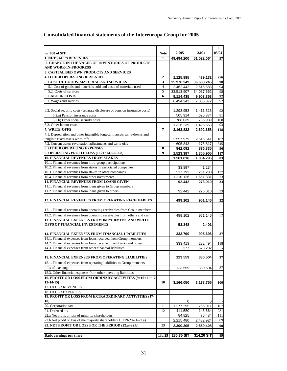|                                                                                                  |                |            |            | 1               |
|--------------------------------------------------------------------------------------------------|----------------|------------|------------|-----------------|
| in '000 of SIT                                                                                   | <b>Note</b>    | 2.005      | 2.004      | 05/04           |
| <b>1. NET SALES REVENUES</b>                                                                     | 1              | 49.494.200 | 51.022.064 | 97              |
| 2. CHANGE IN THE VALUE OF INVENTORIES OF PRODUCTS                                                |                |            |            |                 |
| <b>AND WORK-IN-PROGRESS</b>                                                                      |                |            |            |                 |
| 3. CAPITALISED OWN PRODUCTS AND SERVICES                                                         |                |            |            |                 |
| <b>4. OTHER OPERATING REVENUES</b>                                                               | $\overline{2}$ | 1.125.885  | 439.132    | 256             |
| 5. COST OF GOODS, MATERIAL AND SERVICES                                                          | 3              | 35.976.349 | 36.683.245 | 98              |
| 5.1 Cost of goods and materials sold and costs of materials used                                 | $\overline{4}$ | 2.462.442  | 2.615.583  | 94              |
| 5.2. Costs of services                                                                           | 5              | 33.513.907 | 34.067.662 | 98              |
| <b>6. LABOUR COSTS</b>                                                                           | 6              | 9.114.435  | 9.903.353  | $\overline{92}$ |
| 6.1. Wages and salaries                                                                          |                | 6.494.243  | 7.066.372  | 92              |
|                                                                                                  |                |            |            |                 |
| 6.2. Social security costs (separate disclosure of pension insurance costs)                      |                | 1.293.953  | 1.411.313  | 92              |
| 6.2.a) Pension insurance costs                                                                   |                | 505.914    | 625.374    | 81              |
| 6.2.b) Other social security costs                                                               |                | 788.039    | 785.939    | 100             |
| 6.3. Other labour costs                                                                          |                | 1.326.239  | 1.425.668  | 93              |
| 7. WRITE-OFFS                                                                                    | 7              | 3.163.822  | 2.692.358  | 118             |
| 7.1. Depreciation and other intangible long-term assets write-downs and                          |                |            |            |                 |
| tangible fixed assets write-offs                                                                 |                | 2.557.979  | 2.516.541  | 102             |
| 7.2. Current assets revaluation adjustments and write-offs<br><b>8. OTHER OPERATING EXPENSES</b> |                | 605.843    | 175.817    | 345             |
|                                                                                                  | 8              | 842.092    | 876.335    | 96              |
| 9. OPERATING PROFIT/LOSS (1+2+3+4-5-6-7-8)                                                       | 9              | 1.523.387  | 1.305.905  | 117             |
| <b>10. FINANCIAL REVENUES FROM STAKES</b>                                                        |                | 1.561.816  | 1.884.295  | 83              |
| 10.1. Financial revenues from intra-group participations                                         |                |            |            |                 |
| 10.2. Financial revenues from stakes in associated companies                                     |                | 33.897     | 1.234      |                 |
| 10.3. Financial revenues from stakes in other companies                                          |                | 317.793    | 231.230    | 137             |
| 10.4. Financial revenues from other investments                                                  |                | 1.210.126  | 1.651.831  | 73              |
| <b>11. FINANCIAL REVENUES FROM LOANS GIVEN</b>                                                   |                | 92.442     | 276.010    | 33              |
| 11.1. Financial revenues from loans given to Group members                                       |                |            |            |                 |
| 11.2. Financial revenues from loans given to others                                              |                | 92.442     | 276.010    | 33              |
| <b>12. FINANCIAL REVENUES FROM OPERATING RECEIVABLES</b>                                         |                | 499.102    | 951.146    | 52              |
|                                                                                                  |                |            |            |                 |
| 12.1. Financial revenues from operating receivables from Group members                           |                |            |            |                 |
| 12.2. Financial revenues from operating receivables from others and cash                         |                | 499.102    | 951.146    | 52              |
| <b>13. FINANCIAL EXPENSES FROM IMPAIRMENT AND WRITE</b>                                          |                |            |            |                 |
| OFFS OF FINANCIAL INVESTMENTS                                                                    |                | 53.348     | 2.401      |                 |
| <b>14. FINANCIAL EXPENSES FROM FINANCIAL LIABILITIES</b>                                         |                | 333.790    | 905.696    | 37              |
| 14.1. Financial expenses from loans received from Group members                                  |                |            |            |                 |
| 14.2. Financial expenses from loans received from banks and others                               |                | 333.413    | 282.494    | 118             |
| 14.3. Financial expenses from other financial liabilities                                        |                | 377        | 623.202    |                 |
|                                                                                                  |                |            |            |                 |
| 15. FINANCIAL EXPENSES FROM OPERATING LIABILITIES                                                |                | 123.559    | 330.504    | 37              |
| 15.1. Financial expenses from operating liabilities to Group members                             |                |            |            |                 |
| bills of exchange                                                                                |                | 123.559    | 330.504    | 37              |
| 15.3. Other financial expenses from other operating liabilities                                  |                |            |            |                 |
| 16. PROFIT OR LOSS FROM ORDINARY ACTIVITIES (9+10+11+12-                                         |                |            |            |                 |
| $13-14-15$                                                                                       | 10             | 3.166.050  | 3.178.755  | <b>100</b>      |
| 17. OTHER REVENUES                                                                               |                |            |            |                 |
| <b>18. OTHER EXPENSES</b>                                                                        |                |            |            |                 |
| 19. PROFIT OR LOSS FROM EXTRAORDINARY ACTIVITIES (17-                                            |                |            |            |                 |
| 18)                                                                                              |                | 0          | 0          |                 |
| 20. Corporation tax                                                                              | 11             | 1.277.295  | 766.011    | 167             |
| 21. Deferred tax                                                                                 | 12             | -411.550   | $-146.664$ | 281             |
| 22.a Net profit or loss of minority shareholders                                                 |                | 84.825     | 76.484     | 111             |
| 22.b Net profit or loss of the majority shareholder (16+19-20-21-22.a)                           |                | 2.215.480  | 2.482.924  | 89              |
| 22. NET PROFIT OR LOSS FOR THE PERIOD (22.a+22.b)                                                | 13             | 2.300.305  | 2.559.408  | 90              |
|                                                                                                  |                |            |            |                 |
| <b>Basic earnings per share</b>                                                                  | 13a, 25        | 280,35 SIT | 314,20 SIT | 89              |

# **Consolidated financial statements of the Intereuropa Group for 2005**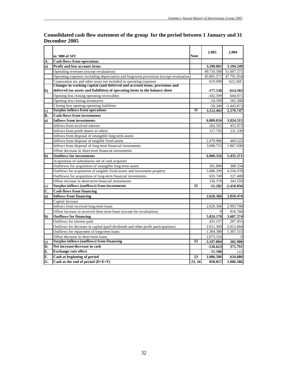| Consolidated cash flow statement of the group for the period between 1 January and 31 |  |
|---------------------------------------------------------------------------------------|--|
| December 2005                                                                         |  |

|          | in '000 of SIT                                                                                                                                   | Note   | 2.005        | 2.004        |
|----------|--------------------------------------------------------------------------------------------------------------------------------------------------|--------|--------------|--------------|
| А.       | <b>Cash flows from operations</b>                                                                                                                |        |              |              |
| $\bf{a}$ | Profit and loss account items                                                                                                                    |        | 3.290.001    | 3.194.249    |
|          | Operating revenues (except revaluation)                                                                                                          |        | 49.710.580   | 51.607.571   |
|          | Operating expenses excluding depreciation and long-term provisions (except revaluation)                                                          |        | 45.801.571   | 47.791.054   |
|          | Corporation tax and other taxes not included in operating expenses<br>Changes in working capital (and deferred and accrued items, provisions and |        | 619.008      | 622.268      |
|          |                                                                                                                                                  |        |              |              |
| b)       | deferred tax assets and liabilities) of operating items in the balance sheet                                                                     |        | $-177.538$   | $-614.502$   |
|          | Opening less closing operating receivables                                                                                                       |        | $-102.599$   | 644.071      |
|          | Opening less closing inventories                                                                                                                 |        | $-24.599$    | 185.300      |
|          | Closing less opening operating liabilities                                                                                                       |        | $-50.340$    | $-1.443.873$ |
| c)       | <b>Surplus inflows from operations</b>                                                                                                           | 31     | 3.112.463    | 2.579.747    |
| B.       | <b>Cash flows from investments</b>                                                                                                               |        |              |              |
| a)       | <b>Inflows from investments</b>                                                                                                                  |        | 6.009.034    | 3.024.515    |
|          | Inflows from received interest                                                                                                                   |        | 202.502      | 455.973      |
|          | Inflows from profit shares in others                                                                                                             |        | 317.793      | 231.330      |
|          | Inflows from disposal of intangible long-term assets                                                                                             |        |              |              |
|          | Inflows from disposal of tangible fixed assets                                                                                                   |        | 2.479.986    | 469.522      |
|          | Inflows from disposal of long-term financial investments                                                                                         |        | 3.008.753    | 1.867.690    |
|          | Offset decrease in short-term financial investments                                                                                              |        |              |              |
| b)       | <b>Outflows for investments</b>                                                                                                                  |        | 6.060.316    | 5.435.371    |
|          | Acquisition of subsidiaries net of cash acquired                                                                                                 |        |              |              |
|          | Outflowss for acquisition of intangible long-term assets                                                                                         |        | 181.890      | 308.334      |
|          | Outflows for acquisition of tangible fixed assets and investment property                                                                        |        | 5.086.299    | 4.556.078    |
|          | Outflowss for acquisition of long-term financial investments                                                                                     |        | 635.749      | 227.400      |
|          | Offset increase in short-term financial investments                                                                                              |        | 156.378      | 343.559      |
| c)       | Surplus inflows (outflows) from investments                                                                                                      | 32     | $-51.282$    | $-2.410.856$ |
| C.       | <b>Cash flows from financing</b>                                                                                                                 |        |              |              |
| a)       | <b>Inflows from financing</b>                                                                                                                    |        | 2.626.366    | 3.810.474    |
|          | Capital increase                                                                                                                                 |        |              |              |
|          | Inflows from received long-term loans                                                                                                            |        | 2.626.366    | 2.993.708    |
|          | Offset increase in received short-term loans (except for revaluation)                                                                            |        | $\Omega$     | 816.766      |
| b)       | <b>Outflows for financing</b>                                                                                                                    |        | 5.824.170    | 3.607.574    |
|          | Outflows for interest paid                                                                                                                       |        | 435.157      | 287.455      |
|          | Outflows for decrease in capital (paid dividends and other profit participations)                                                                |        | 2.011.309    | 2.012.604    |
|          | Outflows for repayment of long-term loans                                                                                                        |        | 1.304.380    | 1.307.515    |
|          | Offset decrease in short-term loans                                                                                                              |        | 2.073.324    |              |
| c)       | <b>Surplus inflows (outflows) from financing</b>                                                                                                 | 33     | $-3.197.804$ | 202.900      |
| D.       | Net increase/decrease in cash                                                                                                                    |        | $-136.623$   | 371.791      |
| E.       | <b>Exchange rate effect</b>                                                                                                                      |        | $-11.106$    | 115          |
| F.       | Cash at beginning of period                                                                                                                      | 23     | 1.006.586    | 634.680      |
| G.       | Cash at the end of period $(D+E+F)$                                                                                                              | 23, 34 | 858.857      | 1.006.586    |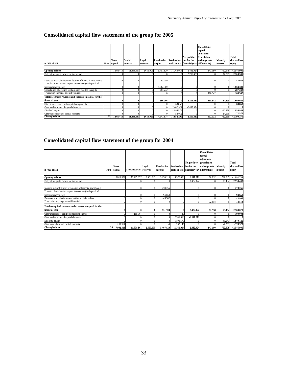# **Consolidated capital flow statement of the group for 2005**

| in '000 of SIT                                                |    | Share<br>Note capital | Capital<br>reserves | Legal<br>reserves | <b>Revaluation</b><br>surplus | Retained net loss for the | Net profit or<br>profit or loss financial year differentials) | Consolidated<br>capital<br>adjustment<br>(translation<br>exchange rate | Minority<br>interest | Total<br>shareholders<br>equity |
|---------------------------------------------------------------|----|-----------------------|---------------------|-------------------|-------------------------------|---------------------------|---------------------------------------------------------------|------------------------------------------------------------------------|----------------------|---------------------------------|
|                                                               |    |                       |                     |                   |                               |                           |                                                               |                                                                        |                      |                                 |
| <b>Opening balance</b>                                        |    | 7.902.413             | 11.838.861          | 2.659,005         | 5.407.820                     | 11.360.014                | 2.482.924                                                     | 143.190                                                                | 752.679              | 42.546.906                      |
| Entry of net profit or loss for the period                    |    |                       |                     |                   |                               |                           | 2.215.480                                                     |                                                                        | 84.825               | 2.300.305                       |
| Decrease in surplus from revaluation of financial investments |    |                       |                     |                   | $-83.059$                     |                           |                                                               |                                                                        |                      | $-83.059$                       |
| Transfer of revaluation surplus to revenues (in disposal of   |    |                       |                     |                   |                               |                           |                                                               |                                                                        |                      |                                 |
| financial investments)                                        |    |                       |                     |                   | $-1.064.389$                  |                           |                                                               |                                                                        |                      | $-1.064.389$                    |
| Cancellation of deferred tax liabilities credited to capital  |    |                       |                     |                   | 287.242                       |                           |                                                               |                                                                        |                      | 287.242                         |
| Translation exchange rate differentials                       |    |                       |                     |                   |                               |                           |                                                               | 168.942                                                                |                      | 168.942                         |
| Total recognised revenues and expenses in capital for the     |    |                       |                     |                   |                               |                           |                                                               |                                                                        |                      |                                 |
| financial year                                                |    |                       |                     |                   | $-860.206$                    |                           | 2.215.480                                                     | 168.942                                                                | 84.825               | 1.609.041                       |
| Other increases of equity capital components                  |    |                       |                     |                   |                               | 63.853                    |                                                               |                                                                        |                      | 63.853                          |
| Other reallocations of capital elements                       |    |                       |                     |                   |                               | 2.482.924                 | $-2.482.924$                                                  |                                                                        |                      |                                 |
| Dividend payout                                               |    |                       |                     |                   |                               | $-1.896.579$              |                                                               |                                                                        | $-60.379$            | $-1.956.958$                    |
| Other cancellation of capital elements                        |    |                       |                     |                   |                               | $-58.012$                 |                                                               |                                                                        | $-14.560$            | $-72.572$                       |
| <b>Closing balance</b>                                        | 35 | 7.902.413             | 11.838.861          | 2.659.005         | 4.547.614                     | 11.952.200                | 2.215.480                                                     | 312.132                                                                | 762.565              | 42.190.270                      |

# **Consolidated capital flow statement of the group for 2004**

| Note | <b>Share</b> | Capital reserves | Legal                                 | <b>Revaluation</b><br>surplus |           | Net profit or                                                       | Consolidated<br>capital<br>adjustment<br>(translation<br>exchange rate                                                                                                               | Minority<br>interest                                  | Total<br>shareholders<br>equity                                 |
|------|--------------|------------------|---------------------------------------|-------------------------------|-----------|---------------------------------------------------------------------|--------------------------------------------------------------------------------------------------------------------------------------------------------------------------------------|-------------------------------------------------------|-----------------------------------------------------------------|
|      | 8.011.37     | 11.729.897       |                                       |                               |           | 2.941.018                                                           | 70.632                                                                                                                                                                               | 727.005                                               | 41.992.733                                                      |
|      |              |                  |                                       |                               |           |                                                                     |                                                                                                                                                                                      | 76.484                                                | 2.559.408                                                       |
|      |              |                  |                                       |                               |           |                                                                     | 72.558                                                                                                                                                                               |                                                       | 270.256<br>$-94.650$<br>-43.902<br>72.558                       |
|      |              |                  |                                       |                               |           |                                                                     |                                                                                                                                                                                      |                                                       | 2.763.670                                                       |
|      |              | 108.964          |                                       |                               |           |                                                                     |                                                                                                                                                                                      |                                                       | 109.004                                                         |
|      |              |                  |                                       |                               |           |                                                                     |                                                                                                                                                                                      |                                                       |                                                                 |
|      |              |                  |                                       |                               |           |                                                                     |                                                                                                                                                                                      |                                                       | $-1.940.126$                                                    |
|      |              |                  |                                       |                               |           |                                                                     |                                                                                                                                                                                      |                                                       | $-378.375$<br>42.546.906                                        |
|      |              | capital<br>36    | $-108.964$<br>11.838.861<br>7.902.413 | reserves<br>2.659.005         | 2.659.005 | 5.276.119<br>270.256<br>$-94.650$<br>43.902<br>131.704<br>5.407.820 | Retained net loss for the<br>profit or loss financial year<br>10.577.680<br>$\Omega$<br>0<br>$\bf{0}$<br>40<br>2.941.018<br>$-2.941.018$<br>$-1.896.579$<br>$-262.145$<br>11.360.014 | differentials)<br>2.482.924<br>2.482.924<br>2.482.924 | 72.558<br>76.484<br>$-43.547$<br>$-7.263$<br>143.190<br>752.679 |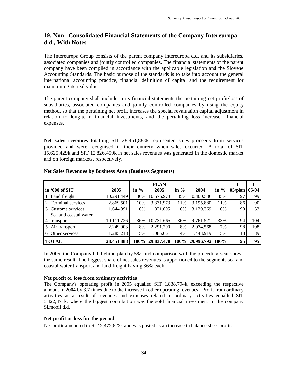# **19. Non –Consolidated Financial Statements of the Company Intereuropa d.d., With Notes**

The Intereuropa Group consists of the parent company Intereuropa d.d. and its subsidiaries, associated companies and jointly controlled companies. The financial statements of the parent company have been compiled in accordance with the applicable legislation and the Slovene Accounting Standards. The basic purpose of the standards is to take into account the general international accounting practice, financial definition of capital and the requirement for maintaining its real value.

The parent company shall include in its financial statements the pertaining net profit/loss of subsidiaries, associated companies and jointly controlled companies by using the equity method, so that the pertaining net profit increases the special revaluation capital adjustment in relation to long-term financial investments, and the pertaining loss increase, financial expenses.

**Net sales revenues** totalling SIT 28,451,888k represented sales proceeds from services provided and were recognised in their entirety when sales occurred. A total of SIT 15,625,429k and SIT 12,826,459k in net sales revenues was generated in the domestic market and on foreign markets, respectively.

|                |                       |            |         | <b>PLAN</b>     |         |                  |         |            |       |
|----------------|-----------------------|------------|---------|-----------------|---------|------------------|---------|------------|-------|
| in '000 of SIT |                       | 2005       | in $\%$ | 2005            | in $\%$ | 2004             | in $\%$ | $05$ /plan | 05/04 |
|                | Land freight          | 10.291.449 | 36%     | 10.575.973      | 35%     | 10.400.536       | 35%     | 97         | 99    |
| 2              | Terminal services     | 2.869.501  | 10%     | 3.331.973       | 11%     | 3.195.880        | 11%     | 86         | 90    |
| 3              | Customs services      | 1.644.991  | 6%      | 1.821.005       | 6%      | 3.120.369        | 10%     | 90         | 53    |
|                | Sea and coastal water |            |         |                 |         |                  |         |            |       |
| 4              | transport             | 10.111.726 | 36%     | 10.731.665      | 36%     | 9.761.521        | 33%     | 94         | 104   |
|                | Air transport         | 2.249.003  | 8%      | 2.291.200       | 8%      | 2.074.568        | 7%      | 98         | 108   |
| 6              | Other services        | 1.285.218  | 5%      | 1.085.661       | 4%      | 1.443.919        | 5%      | 118        | 89    |
| <b>TOTAL</b>   |                       | 28.451.888 |         | 100% 29.837.478 |         | 100\% 29.996.792 | $100\%$ | 95         | 95    |

#### **Net Sales Revenues by Business Area (Business Segments)**

In 2005, the Company fell behind plan by 5%, and comparison with the preceding year shows the same result. The biggest share of net sales revenues is apportioned to the segments sea and coastal water transport and land freight having 36% each.

#### **Net profit or loss from ordinary activities**

The Company's operating profit in 2005 equalled SIT 1,838,794k, exceeding the respective amount in 2004 by 3.7 times due to the increase in other operating revenues. Profit from ordinary activities as a result of revenues and expenses related to ordinary activities equalled SIT 3,422,471k, where the biggest contribution was the sold financial investment in the company Si.mobil d.d.

#### **Net profit or loss for the period**

Net profit amounted to SIT 2,472,823k and was posted as an increase in balance sheet profit.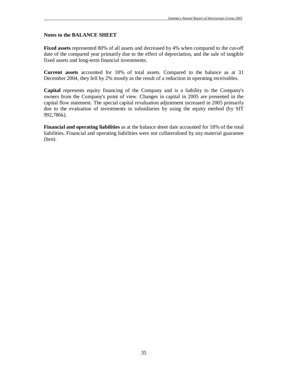#### **Notes to the BALANCE SHEET**

**Fixed assets** represented 80% of all assets and decreased by 4% when compared to the cut-off date of the compared year primarily due to the effect of depreciation, and the sale of tangible fixed assets and long-term financial investments.

**Current assets** accounted for 18% of total assets. Compared to the balance as at 31 December 2004, they fell by 2% mostly as the result of a reduction in operating receivables.

**Capital** represents equity financing of the Company and is a liability to the Company's owners from the Company's point of view. Changes in capital in 2005 are presented in the capital flow statement. The special capital revaluation adjustment increased in 2005 primarily due to the evaluation of investments in subsidiaries by using the equity method (by SIT 992,786k).

**Financial and operating liabilities** as at the balance sheet date accounted for 18% of the total liabilities. Financial and operating liabilities were not collateralised by any material guarantee (lien).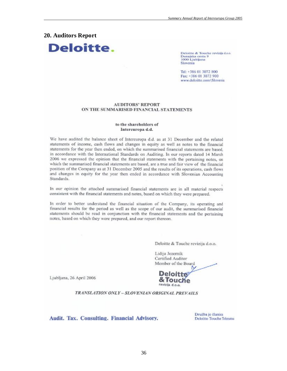#### **20. Auditors Report**



Deloitte & Touche revizija d.o.o. Dunajska cesta 9<br>1000 Ljubljana Slovenia

Tel: +386 01 3072 800 Fax: +386 01 3072 900 www.deloitte.com\Slovenia

#### **AUDITORS' REPORT** ON THE SUMMARISED FINANCIAL STATEMENTS

#### to the shareholders of Intereuropa d.d.

We have audited the balance sheet of Intereuropa d.d. as at 31 December and the related statements of income, cash flows and changes in equity as well as notes to the financial statements for the year then ended, on which the summarised financial statements are based, in accordance with the International Standards on Auditing. In our reports dated 14 March 2006 we expressed the opinion that the financial statements with the pertaining notes, on which the summarised financial statements are based, are a true and fair view of the financial position of the Company as at 31 December 2005 and the results of its operations, cash flows and changes in equity for the year then ended in accordance with Slovenian Accounting Standards.

In our opinion the attached summarised financial statements are in all material respects consistent with the financial statements and notes, based on which they were prepared.

In order to better understand the financial situation of the Company, its operating and financial results for the period as well as the scope of our audit, the summarised financial statements should be read in conjunction with the financial statements and the pertaining notes, based on which they were prepared, and our report thereon.

Deloitte & Touche revizija d.o.o.

Lidija Jezernik Certified Auditor Member of the Board

Ljubljana, 26 April 2006



TRANSLATION ONLY - SLOVENIAN ORIGINAL PREVAILS

Audit. Tax. Consulting. Financial Advisory.

Družba je članica Deloitte Touche Tohmatsu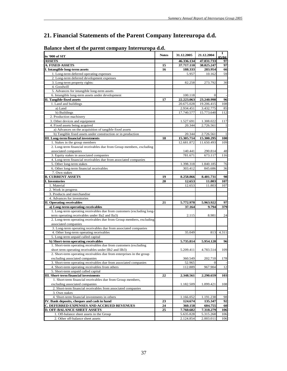# **21. Financial Statements of the Parent Company Intereuropa d.d.**

| in '000 of SIT                                                                                               | <b>Notes</b> | 31.12.2005          | 21.12.2004              | 1<br>05/04 |
|--------------------------------------------------------------------------------------------------------------|--------------|---------------------|-------------------------|------------|
| <b>ASSETS</b>                                                                                                |              | 46.336.134          | 47.831.733              | 97         |
| A. FIXED ASSETS                                                                                              | 15           | 37.717.110          | 38.825.247              | 97         |
| I. Intangible long-term assets                                                                               | 16           | 188.333             | 283.954                 | 66         |
| 1. Long-term deferred operating expenses                                                                     |              | 5.957               | 10.162                  | 59         |
| 2. Long-term deferred development expenses                                                                   |              |                     |                         |            |
| 3. Long-term property rights:                                                                                |              | 82.258              | 273.792                 | 30         |
| 4. Goodwill                                                                                                  |              |                     |                         |            |
| 5. Advances for intangible long-term assets                                                                  |              |                     |                         |            |
| 6. Intangible long-term assets under development                                                             |              | 100.118             | 0                       |            |
| <b>II.</b> Tangible fixed assets<br>1. Land and buildings                                                    | 17           | 22.223.063          | 23.240.998              | 96         |
|                                                                                                              |              | 20.675.028          | 19.206.415              | 108        |
| a) Land                                                                                                      |              | 2.934.451           | 3.432.775               | 85         |
| b) Buildings<br>2. Production machinery                                                                      |              | 17.740.577          | 15.773.640              | 112        |
| 3. Other devices and equipment                                                                               |              |                     |                         |            |
| 4. Fixed assets being acquired                                                                               |              | 1.527.691<br>20.344 | 1.308.022               | 117        |
| a) Advances on the acquisition of tangible fixed assets                                                      |              |                     | 2.726.561               |            |
|                                                                                                              |              | 20.344              |                         |            |
| b) Tangible fixed assets under construction or in production<br>III. Long-term financial investments         |              | 15.305.714          | 2.726.561<br>15.300.295 | -1<br>100  |
|                                                                                                              | 18           |                     |                         |            |
| 1. Stakes in the group members<br>2. Long-term financial receivables due from Group members, excluding       |              | 12.681.872          | 11.650.493              | 109        |
|                                                                                                              |              |                     |                         |            |
| associated companies                                                                                         |              | 140.441             | 290.814                 | 48         |
| 3. Equity stakes in associated companies                                                                     |              | 781.671             | 673.117                 | 116        |
| 4. Long-term financial receivables due from associated companies                                             |              |                     |                         |            |
| 5. Other long-term stakes                                                                                    |              | 1.398.318           | 1.840.185               | 76         |
| 6. Other long-term financial receivables                                                                     |              | 303.412             | 845.686                 | 36         |
| 7. Own stakes                                                                                                |              |                     |                         |            |
| <b>B. CURRENT ASSETS</b>                                                                                     | 19           | 8.258.866           | 8.401.731               | 98         |
| <b>I. Inventories</b>                                                                                        | 20           | 12.653              | 11.803                  | 107        |
| 1. Material                                                                                                  |              | 12.653              | 11.803                  | 107        |
| 2. Work in progress                                                                                          |              |                     |                         |            |
| 3. Products and merchandise                                                                                  |              |                     |                         |            |
| 4. Advances for inventories                                                                                  |              |                     |                         |            |
| <b>II. Operating receivables</b>                                                                             | 21           | 5.772.978           | 5.963.922               | 97         |
| a) Long-term operating receivables<br>1. Long-term operating receivables due from customers (excluding long- |              | 37.164              | 9.794                   | 379        |
|                                                                                                              |              |                     |                         |            |
| term operating receivables under Ila2 and Ila3)                                                              |              | 2.115               | 8.981                   | 24         |
| 2. Long-term operating receivables due from Group members, excluding                                         |              |                     |                         |            |
| associated companies                                                                                         |              |                     |                         |            |
| 3. Long-term operating receivables due from associated companies                                             |              |                     |                         |            |
| 4. Other long-term operating receivables                                                                     |              | 35.049              | 813                     | 4.311      |
| 5. Long-term unpaid called capital                                                                           |              |                     |                         |            |
| b) Short-term operating receivables                                                                          |              | 5.735.814           | 5.954.128               | 96         |
| 1. Short-term operating receivables due from customers (excluding                                            |              |                     |                         |            |
| short term operating receivables under IIb2 and IIb3)                                                        |              | 5.209.411           | 4.783.514               | 109        |
| 2. Short-term operating receivables due from enterprises in the group                                        |              |                     |                         |            |
| excluding associated companies                                                                               |              | 360.549             | 202.710                 | 178        |
| 3. Short-term operating receivables due from associated companies                                            |              | 52.965              | $\mathbf{0}$            |            |
| 4. Short-term operating receivables from others                                                              |              | 112.889             | 967.904                 | 12         |
| 5. Short-term unpaid called capital                                                                          |              |                     |                         |            |
| III. Short-term financial investments                                                                        | 22           | 2.348.561           | 2.290.659               | 103        |
| 1. Short-term financial receivables due from Group members,                                                  |              |                     |                         |            |
| excluding associated companies                                                                               |              | 1.182.509           | 1.099.421               | 108        |
| 2. Short-term financial receivables from associated companies                                                |              |                     |                         |            |
| 3. Own stakes                                                                                                |              |                     |                         |            |
| 4. Short-term financial investments in others                                                                |              | 1.166.052           | 1.191.238               | 98         |
| IV. Bank deposits, cheques and cash in hand                                                                  | 23           | 124.674             | 135.347                 | 92         |
| C. DEFERRED EXPENSES AND ACCRUED REVENUES                                                                    | 24           | 360.158             | 604.755                 | 60         |
| <b>D. OFF-BALANCE SHEET ASSETS</b>                                                                           | 25           | 7.760.682           | 7.318.279               | 106        |
| 1. Off-balance sheet assets in the Group                                                                     |              | 5.635.828           | 5.315.268               | 106        |
| 2. Other off-balance sheet assets                                                                            |              | 2.124.854           | 2.003.011               | 106        |

## **Balance sheet of the parent company Intereuropa d.d.**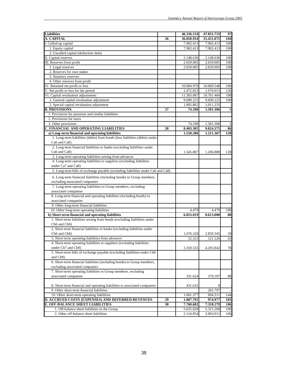| <b>Liabilities</b>                                                               |    | 46.336.134 | 47.831.733 | 97                      |
|----------------------------------------------------------------------------------|----|------------|------------|-------------------------|
| A. CAPITAL                                                                       | 26 | 36.850.934 | 35.451.075 | 104                     |
| I. Called-up capital                                                             |    | 7.902.413  | 7.902.413  | 100                     |
| 1. Equity capital                                                                |    | 7.902.413  | 7.902.413  | 100                     |
| 2. Uncalled capital (deduction item)                                             |    |            |            |                         |
| II. Capital reserves                                                             |    | 2.148.636  | 2.148.636  | 100                     |
| III. Reserves from profit                                                        |    | 2.659.005  | 2.659.005  | 100                     |
| 1. Legal reserves                                                                |    | 2.659.005  | 2.659.005  | 100                     |
| 2. Reserves for own stakes                                                       |    |            |            |                         |
| 3. Statutory reserves                                                            |    |            |            |                         |
| 4. Other reserves from profit                                                    |    |            |            |                         |
| IV. Retained net profit or loss                                                  |    | 10.084.970 | 10.069.548 | 100                     |
| V. Net profit or loss for the period                                             |    | 2.472.823  | 1.970.013  | 126                     |
| VI. Capital revaluation adjustments                                              |    | 11.583.087 | 10.701.460 | 108                     |
| 1. General capital revaluation adjustment                                        |    | 9.690.225  | 9.690.225  | 100                     |
| 2. Special capital revaluation adjustment                                        |    | 1.892.862  | 1.011.235  |                         |
| <b>B. PROVISIONS</b>                                                             | 27 | 74.100     | 1.581.306  | $\overline{\mathbf{5}}$ |
| 1. Provisions for pensions and similar liabilities                               |    |            |            |                         |
| 2. Provisions for taxes                                                          |    |            |            |                         |
| 3. Other provisions                                                              |    | 74.100     | 1.581.306  | 5                       |
| C. FINANCIAL AND OPERATING LIABILITIES                                           | 28 | 8.403.305  | 9.824.375  | 86                      |
| a) Long-term financial and operating liabilities                                 |    | 1.550.286  | 1.211.367  | 128                     |
| 1. Long-term liabilities (debts) from bonds (less liabilities (debts) under      |    |            |            |                         |
| Ca6 and Ca8)                                                                     |    |            |            |                         |
| 2. Long-term financial liabilities to banks (excluding liabilities under         |    |            |            |                         |
| Ca6 and Ca8)                                                                     |    | 1.545.807  | 1.206.888  | 128                     |
| 3. Long-term operating liabilities arising from advances                         |    |            |            |                         |
| 4. Long-term operating liabilities to suppliers (excluding liabilities           |    |            |            |                         |
| under Ca7 and Ca8)                                                               |    |            |            |                         |
| 5. Long-term bills of exchange payable (excluding liabilities under Ca6 and Ca8) |    |            |            |                         |
| 6. Long-term financial liabilities (including bonds) to Group members,           |    |            |            |                         |
| excluding associated companies                                                   |    |            |            |                         |
| 7. Long-term operating liabilities to Group members, excluding                   |    |            |            |                         |
| associated companies                                                             |    |            |            |                         |
| 8. Long-term financial and operating liabilities (including bonds) to            |    |            |            |                         |
| associated companies                                                             |    |            |            |                         |
| 9. Other long-term financial liabilities                                         |    |            |            |                         |
| 10. Other long-term operating liabilities                                        |    | 4.479      | 4.479      | 100                     |
| b) Short-term financial and operating liabilities                                |    | 6.853.019  | 8.613.008  | 80                      |
| 1. Short-term liabilities arising from bonds (excluding liabilities under        |    |            |            |                         |
| Cb6 and Cb8)                                                                     |    |            |            |                         |
| 2. Short-term financial liabilities to banks (excluding liabilities under        |    |            |            |                         |
| Cb6 and Cb8)                                                                     |    | 1.676.328  | 2.859.345  | 59                      |
| 3. Short-term operating liabilities from advances                                |    | 52.523     | 121.526    | 43                      |
| 4. Short-term operating liabilities to suppliers (excluding liabilities          |    |            |            |                         |
| under Cb7 and Cb8)                                                               |    | 3.359.535  | 4.293.842  | 78                      |
| 5. Short-term bills of exchange payable (excluding liabilities under Cb6         |    |            |            |                         |
| and Cb8)                                                                         |    |            |            |                         |
| 6. Short-term financial liabilities (including bonds) to Group members,          |    |            |            |                         |
| excluding associated companies                                                   |    |            |            |                         |
| 7. Short-term operating liabilities to Group members, excluding                  |    |            |            |                         |
| associated companies                                                             |    | 331.624    | 378.187    | 88                      |
|                                                                                  |    |            |            |                         |
| 8. Short-term financial and operating liabilities to associated companies        |    | 431.632    | $\Omega$   |                         |
| 9. Other short-term financial liabilities                                        |    |            | 265.797    |                         |
| 10. Other short-term operating liabilities                                       |    | 1.001.377  | 694.311    | 144                     |
| D. ACCRUED COSTS (EXPENSES) AND DEFERRED REVENUES                                | 29 | 1.007.795  | 974.977    | 103                     |
| E. OFF-BALANCE SHEET LIABILITIES                                                 | 30 | 7.760.682  | 7.318.279  | 106                     |
| 1. Off-balance sheet liabilities in the Group                                    |    | 5.635.828  | 5.315.268  | 106                     |
| 2. Other off-balance sheet liabilities                                           |    | 2.124.854  | 2.003.011  | 106                     |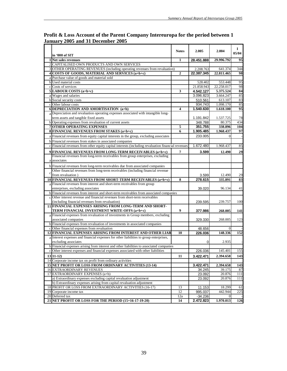|              | in '000 of SIT                                                                                     | <b>Notes</b>   | 2.005      | 2.004      | 1<br>05/04 |
|--------------|----------------------------------------------------------------------------------------------------|----------------|------------|------------|------------|
|              | 1 Net sales revenues                                                                               | 1              | 28.451.888 | 29.996.792 | 95         |
|              | 2 CAPITALISED OWN PRODUCTS AND OWN SERVICES                                                        |                |            |            |            |
|              | 3 OTHER OPERATING REVENUES (including operating revenues from revaluation)                         |                | 2.208.763  | 641.374    | 344        |
|              | 4 COSTS OF GOODS, MATERIAL AND SERVICES (a+b+c)                                                    | $\overline{2}$ | 22.387.345 | 22.811.465 | 98         |
|              | a Purchase value of goods and material sold                                                        |                |            |            |            |
|              | b Used material costs                                                                              |                | 528.402    | 553.448    | 95         |
|              | c Costs of services                                                                                |                | 21.858.943 | 22.258.017 | 98         |
|              | $5$ LABOUR COSTS $(a+b+c)$                                                                         | 3              | 4.542.127  | 5.375.524  | 84         |
|              | a Wages and salaries                                                                               |                | 3.096.823  | 3.664.247  | 85         |
|              | <b>b</b> Social security costs                                                                     |                | 510.561    | 613.107    | 83         |
|              | c Other labour costs                                                                               |                | 934.743    | 1.098.170  | 85         |
|              | 6 DEPRECIATION AND AMORTISATION (a+b)                                                              | 4              | 1.540.630  | 1.618.100  | 95         |
|              | a Depreciation and revaluation operating expenses associated with intangible long-                 |                |            |            |            |
|              | term assets and tangible fixed assets                                                              |                | 1.191.842  | 1.537.725  | 78         |
|              | b Operating expenses from revaluation of current assets                                            |                | 348.788    | 80.375     | 434        |
|              | <b>7 OTHER OPERATING EXPENSES</b>                                                                  | 5              | 351.755    | 338.896    | 104        |
|              | 8 FINANCIAL REVENUES FROM STAKES (a+b+c)                                                           | 6              | 1.905.485  | 1.968.437  | 97         |
|              | a Financial revenues from equity capital interests in the group, excluding associates              |                | 233.005    | $\Omega$   |            |
|              | b Financial revenues from stakes in associated companies                                           |                |            |            |            |
|              | c Financial revenues from other equity capital interests (including revaluation financial revenues |                | 1.672.480  | 1.968.437  | 85         |
|              | 9 FINANCIAL REVENUES FROM LONG-TERM RECEIVABLES (a+b+c)                                            | 7              | 3.599      | 12.490     | 29         |
|              | Financial revenues from long-term receivables from group enterprises, excluding                    |                |            |            |            |
|              | a associates                                                                                       |                |            |            |            |
|              | b Financial revenues from long-term receivables due from associated companies                      |                |            |            |            |
|              | Other financial revenues from long-term receivables (including financial revenue                   |                |            |            |            |
| $\mathbf c$  | from revaluation)                                                                                  |                | 3.599      | 12.490     | 29         |
|              | 10 FINANCIAL REVENUES FROM SHORT-TERM RECEIVABLES (a+b+c)                                          | 8              | 278.615    | 335.891    | 83         |
|              | a Financial revenues from interest and short-term receivables from group                           |                |            |            |            |
|              | enterprises, excluding associates                                                                  |                | 39.020     | 96.134     | 41         |
|              | b Financial revenues from interest and short-term receivables from associated companies            |                |            |            |            |
| $\mathbf{c}$ | Other interest revenue and financial revenues from short-term receivables                          |                |            |            |            |
|              | (including financial revenues from revaluation)                                                    |                | 239.595    | 239.757    | 100        |
|              | 11 FINANCIAL EXPENSES ARISING FROM LONG-TERM AND SHORT-                                            |                |            |            |            |
|              | TERM FINANCIAL INVESTMENT WRITE-OFFS (a+b+c)                                                       | 9              | 377.986    | 268.005    | 141        |
|              | a Financial expenses from revaluation of investments in Group members, excluding                   |                |            |            |            |
|              | associated companies                                                                               |                | 329.330    | 268.005    | 123        |
|              | b Financial expenses from revaluation of investments in associated companies                       |                |            |            |            |
|              | c Other financial expenses from revaluation                                                        |                | 48.656     | $\Omega$   |            |
|              | 12 FINANCIAL EXPENSES ARISING FROM INTEREST AND OTHER LIAB                                         | 10             | 226.036    | 148.336    | 152        |
|              | a Interest expenses and financial expenses for other liabilities to group enterprises,             |                |            |            |            |
|              | excluding associates                                                                               |                | 0          | 2.935      |            |
|              | b Financial expenses arising from interest and other liabilities to associated companies           |                |            |            |            |
|              | Other interest expenses and financial expenses associated with other liabilities                   |                | 226.036    | 145.401    | 155        |
|              | $13$ $11-12$                                                                                       | 11             | 3.422.471  | 2.394.658  | 143        |
|              | 14 Corporate income tax on profit from ordinary activities                                         |                |            |            |            |
|              | 15 NET PROFIT OR LOSS FROM ORDINARY ACTIVITIES (13-14)                                             |                | 3.422.471  | 2.394.658  | 143        |
|              | <b>16 EXTRAORDINARY REVENUES</b>                                                                   |                | 34.245     | 39.175     | 87         |
|              | 17 EXTRAORDINARY EXPENSES (a+b)                                                                    |                | 23.092     | 20.876     | 111        |
|              | a) Extraordinary expenses excluding capital revaluation adjustment                                 |                | 23.092     | 20.876     | 111        |
|              | b) Extraordinary expenses arising from capital revaluation adjustment                              |                |            |            |            |
|              | 18 PROFIT OR LOSS FROM EXTRAORDINARY ACTIVITIES (16-17)                                            | 13             | 11.153     | 18.299     | 61         |
|              | 19 Corporate income tax                                                                            | 12             | 995.037    | 442.944    | 225        |
|              | 20 Deferred tax                                                                                    | 12a            | $-34.236$  | $\vert$    |            |
|              | 21 NET PROFIT OR LOSS FOR THE PERIOD (15+16-17-19-20)                                              | 14             | 2.472.823  | 1.970.013  | 126        |

## **Profit & Loss Account of the Parent Company Intereuropa for the period between 1 January 2005 and 31 December 2005**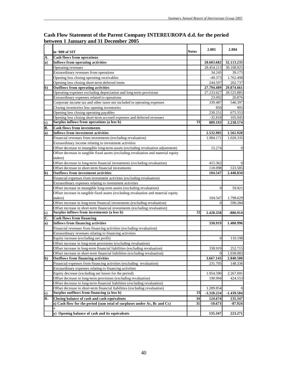|     | in '000 of SIT                                                                                 | <b>Notes</b>    | 2.005          | 2.004        |
|-----|------------------------------------------------------------------------------------------------|-----------------|----------------|--------------|
| А.  | <b>Cash flows from operations</b>                                                              |                 |                |              |
| a)  | Inflows from operating activities                                                              |                 | 28.683.682     | 32.113.235   |
|     | Operating revenues                                                                             |                 | 28.454.213     | 30.108.825   |
|     | Extraordinary revenues from operations                                                         |                 | 34.245         | 39.175       |
|     | Opening less closing operating receivables                                                     |                 | $-49.373$      | 1.762.498    |
|     | Opening less closing short-term deferred items                                                 |                 | 244.597        | 202.737      |
| b)  | Outflows from operating activities                                                             |                 | 27.794.489     | 29.874.661   |
|     | Operating expenses excluding depreciation and long-term provisions                             |                 | 27.233.627     | 28.525.885   |
|     | Extraordinary expenses related to operations                                                   |                 | 23.092         | 20.876       |
|     | Corporate income tax and other taxes not included in operating expenses                        |                 | 339.487        | 546.397      |
|     | Closing inventories less opening inventories                                                   |                 | 850            | 905          |
|     | Opening less closing operating payables                                                        |                 | 230.251        | 675.553      |
|     | Opening less closing short-term accrued expenses and deferred revenues                         |                 | $-32.818$      | 105.045      |
| c)  | Surplus inflows from operations (a less b)                                                     | 31              | 889.193        | 2.238.574    |
| В.  | <b>Cash flows from investments</b>                                                             |                 |                |              |
| a)  | <b>Inflows from investment activities</b>                                                      |                 | 2.532.905      | 1.561.920    |
|     | Financial revenues from investments (excluding revaluation)                                    |                 | 1.984.171      | 1.028.335    |
|     | Extraordinary income relating to investment activities                                         |                 |                |              |
|     | Offset decrease in intangible long-term assets (excluding revaluation adjustment)              |                 | 15.274         | $\Omega$     |
|     | Offset decrease in tangible fixed assets (excluding revaluation and material equity<br>stakes) |                 |                |              |
|     | Offset decrease in long-term financial investments (excluding revaluation)                     |                 | 415.362        |              |
|     | Offset decrease in short-term financial investments                                            |                 | 118.098        | 533.585      |
| b)  | <b>Outflows from investment activities</b>                                                     |                 | 104.547        | 2.448.834    |
|     | Financial expenses from investment activities (excluding revaluation)                          |                 |                |              |
|     | Extraordinary expenses relating to investment activities                                       |                 |                |              |
|     | Offset increase in intangible long-term assets (excluding revaluation)                         |                 | $\Omega$       | 59.921       |
|     | Offset increase in tangible fixed assets (excluding revaluation and material equity            |                 |                |              |
|     | stakes)                                                                                        |                 | 104.547        | 1.798.629    |
|     | Offset increase in long-term financial investments (excluding revaluation)                     |                 | $\Omega$       | 590.284      |
|     | Offset increase in short-term financial investments (excluding revaluation)                    |                 |                |              |
| c)  | Surplus inflows from investments (a less b)                                                    | 32 <sub>1</sub> | 2.428.358      | $-886.914$   |
| C.  | <b>Cash flows from financing</b>                                                               |                 |                |              |
| a)  | <b>Inflows from financing activities</b>                                                       |                 | 338.919        | 1.400.996    |
|     | Financial revenues from financing activities (excluding revaluation)                           |                 |                |              |
|     | Extraordinary revenues relating to financing activities                                        |                 |                |              |
|     | Equity increase (excluding net profit)                                                         |                 | $\overline{0}$ | 110.198      |
|     | Offset increase in long-term provisions (excluding revaluation)                                |                 |                |              |
|     | Offset increase in long-term financial liabilities (excluding revaluation)                     |                 | 338.919        | 252.715      |
|     | Offset increase in short-term financial liabilities (excluding revaluation)                    |                 | $\overline{0}$ | 1.038.083    |
| $b$ | <b>Outflows from financing activities</b>                                                      |                 | 3.667.143      | 2.840.580    |
|     | Financial expenses from financing activities (excluding revaluation)                           |                 | 231.705        | 148.336      |
|     | Extraordinary expenses relating to financing activities                                        |                 |                |              |
|     | Equity decrease (excluding net losses for the period)                                          |                 | 1.954.590      | 2.267.691    |
|     | Offset decrease in long-term provisions (excluding revaluation)                                |                 | 190.994        | 424.553      |
|     | Offset decrease in long-term financial liabilities (excluding revaluation)                     |                 |                |              |
|     | Offset decrease in short-term financial liabilities (excluding revaluation)                    |                 | 1.289.854      |              |
| c)  | Surplus outflows from financing (a less b)                                                     | 33              | $-3.328.224$   | $-1.439.584$ |
| D.  | Closing balance of cash and cash equivalents                                                   | 34              | 124.674        | 135.347      |
|     | x) Cash flow for the period (sum total of surpluses under Ac, Bc and Cc)                       | 35              | $-10.673$      | $-87.924$    |
|     | $^{+}$                                                                                         |                 |                |              |
|     | y) Opening balance of cash and its equivalents                                                 |                 | 135.347        | 223.271      |

## **Cash Flow Statement of the Parent Company INTEREUROPA d.d. for the period between 1 January and 31 December 2005**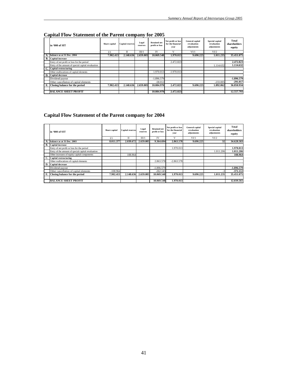|    | in '000 of SIT                                     | Share capital | <b>Capital reserves</b> | Legal<br>reserves | <b>Retained net</b><br>profit or loss | Net profit or loss<br>for the financial<br>vear | General capital<br>revaluation<br>adjustments | Special capital<br>revaluation<br>adjustments | Total<br>shareholders<br>equity |
|----|----------------------------------------------------|---------------|-------------------------|-------------------|---------------------------------------|-------------------------------------------------|-----------------------------------------------|-----------------------------------------------|---------------------------------|
|    |                                                    | I/1           | Π                       | III/1             | <b>IV</b>                             | v                                               | V1/1                                          | VI/2                                          |                                 |
| А. | balance as at 31 Dec. 2004                         | 7.902.413     | 2.148.636               | 2.659.005         | 10.069.548                            | 1.970.013                                       | 9.690.225                                     | 1.011.235                                     | 35.451.075                      |
| В. | <b>Capital increase</b>                            |               |                         |                   |                                       |                                                 |                                               |                                               |                                 |
|    | Entry of net profit or loss for the period         |               |                         |                   |                                       | 2.472.823                                       |                                               |                                               | 2.472.823                       |
|    | Entry of the amount of special capital revaluation |               |                         |                   |                                       |                                                 |                                               | 1.114.632                                     | 1.114.632                       |
| C. | Capital restructuring                              |               |                         |                   |                                       |                                                 |                                               |                                               |                                 |
|    | Other reallocations of capital elements            |               |                         |                   | 1.970.013                             | $-1.970.013$                                    |                                               |                                               |                                 |
| D. | <b>Capital decrease</b>                            |               |                         |                   |                                       |                                                 |                                               |                                               |                                 |
|    | Dividend payout                                    |               |                         |                   | $-1.896.579$                          |                                                 |                                               |                                               | $-1.896.579$                    |
|    | Other cancellation of capital elements             |               |                         |                   | $-58.012$                             |                                                 |                                               | $-233.005$                                    | $-291.017$                      |
|    | Closing balance for the period                     | 7.902.413     | 2.148.636               | 2.659.005         | 10.084.970                            | 2.472.823                                       | 9.690.225                                     | 1.892.862                                     | 36.850.934                      |
|    |                                                    |               |                         |                   |                                       |                                                 |                                               |                                               |                                 |
|    | <b>BALANCE SHEET PROFIT</b>                        |               |                         |                   | 10.084.970                            | 2.472.823                                       |                                               |                                               | 12,557,793                      |

## **Capital Flow Statement of the Parent company for 2005**

# **Capital Flow Statement of the Parent company for 2004**

|    | in '000 of SIT                                     | Share capital | <b>Capital reserves</b> | Legal<br>reserves | <b>Retained net</b><br>profit or loss | Net profit or loss<br>for the financial<br>vear | <b>General</b> capital<br>revaluation<br>adjustments | Special capital<br>revaluation<br>adjustments | Total<br>shareholders<br>equity |
|----|----------------------------------------------------|---------------|-------------------------|-------------------|---------------------------------------|-------------------------------------------------|------------------------------------------------------|-----------------------------------------------|---------------------------------|
|    |                                                    | I/1           | Π                       | III/1             | <b>IV</b>                             |                                                 | VI/1                                                 | VI/2                                          |                                 |
| А. | balance as at 31 Dec. 2003                         | 8.011.377     | 2.039.672               | 2.659.005         | 9.364.694                             | 2.863.578                                       | 9.690.225                                            | 32 <sub>1</sub>                               | 34.628.583                      |
| В. | <b>Capital increase</b>                            |               |                         |                   |                                       |                                                 |                                                      |                                               |                                 |
|    | Entry of net profit or loss for the period         |               |                         |                   |                                       | 1.970.013                                       |                                                      |                                               | 1.970.013                       |
|    | Entry of the amount of special capital revaluation |               |                         |                   |                                       |                                                 |                                                      | 1.011.206                                     | 1.011.206                       |
|    | Other increases of equity capital components       |               | 108.964                 |                   |                                       |                                                 |                                                      |                                               | 108.964                         |
|    | Capital restructuring                              |               |                         |                   |                                       |                                                 |                                                      |                                               |                                 |
|    | Other reallocations of capital elements            |               |                         |                   | 2.863.578                             | $-2.863.578$                                    |                                                      |                                               |                                 |
| D. | <b>Capital decrease</b>                            |               |                         |                   |                                       |                                                 |                                                      |                                               |                                 |
|    | Dividend payout                                    |               |                         |                   | $-1.896.579$                          |                                                 |                                                      |                                               | -1.896.579                      |
|    | Other cancellation of capital elements             | $-108.964$    |                         |                   | $-262.145$                            |                                                 |                                                      |                                               | $-371.112$                      |
|    | E. Closing balance for the period                  | 7.902.413     | 2.148.636               | 2.659.005         | 10.069.548                            | 1.970.013                                       | 9.690.225                                            | 1.011.235                                     | 35.451.075                      |
|    |                                                    |               |                         |                   |                                       |                                                 |                                                      |                                               |                                 |
|    | <b>BALANCE SHEET PROFIT</b>                        |               |                         |                   | 10.069.548                            | 1.970.013                                       |                                                      |                                               | 12.039.561                      |